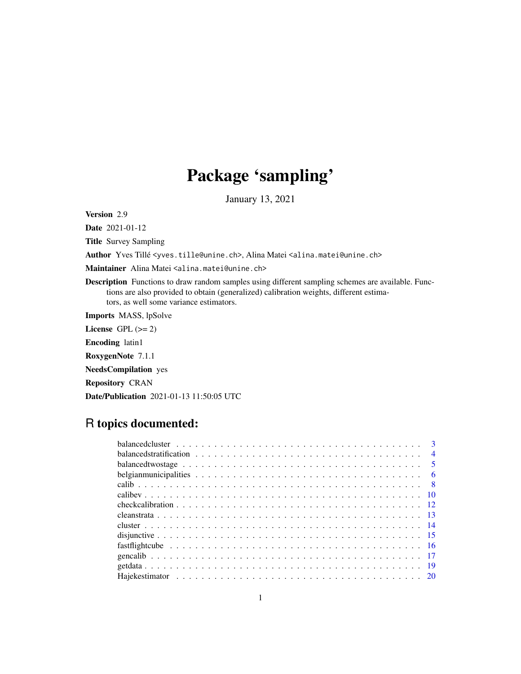# Package 'sampling'

January 13, 2021

Version 2.9

Date 2021-01-12

Title Survey Sampling

Author Yves Tillé <yves.tille@unine.ch>, Alina Matei <alina.matei@unine.ch>

Maintainer Alina Matei <alina.matei@unine.ch>

Description Functions to draw random samples using different sampling schemes are available. Functions are also provided to obtain (generalized) calibration weights, different estimators, as well some variance estimators.

Imports MASS, lpSolve

License GPL  $(>= 2)$ 

Encoding latin1

RoxygenNote 7.1.1

NeedsCompilation yes

Repository CRAN

Date/Publication 2021-01-13 11:50:05 UTC

# R topics documented:

| $\overline{\mathbf{3}}$                                                                                                                |  |
|----------------------------------------------------------------------------------------------------------------------------------------|--|
| balanced stratification $\ldots \ldots \ldots \ldots \ldots \ldots \ldots \ldots \ldots \ldots \ldots \ldots \ldots$<br>$\overline{4}$ |  |
| balanced two stage $\ldots \ldots \ldots \ldots \ldots \ldots \ldots \ldots \ldots \ldots \ldots \ldots$                               |  |
|                                                                                                                                        |  |
|                                                                                                                                        |  |
|                                                                                                                                        |  |
|                                                                                                                                        |  |
|                                                                                                                                        |  |
|                                                                                                                                        |  |
|                                                                                                                                        |  |
|                                                                                                                                        |  |
|                                                                                                                                        |  |
|                                                                                                                                        |  |
|                                                                                                                                        |  |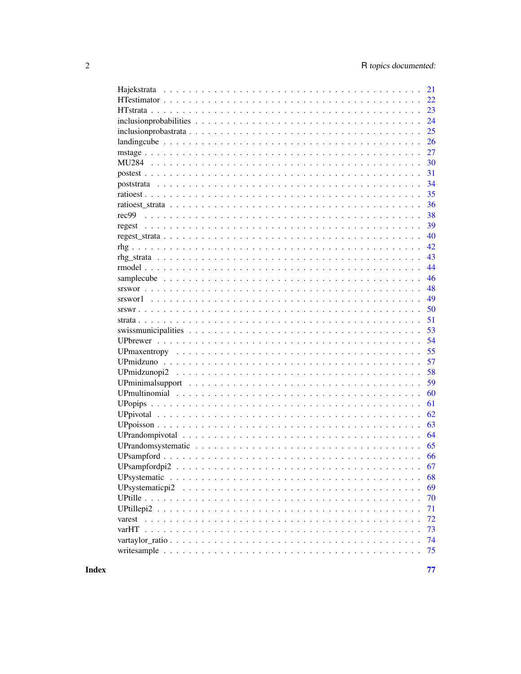| 21                    |
|-----------------------|
| 22                    |
| 23                    |
| 24                    |
| 25                    |
| 26                    |
| 27                    |
| 30                    |
| 31                    |
| 34                    |
| 35                    |
| 36                    |
| 38                    |
| 39                    |
| 40                    |
| 42                    |
| 43                    |
| 44                    |
| 46                    |
| 48                    |
| 49                    |
| 50                    |
| 51                    |
| 53                    |
| 54                    |
| 55                    |
| 57                    |
| 58                    |
| 59                    |
| 60                    |
| 61                    |
| 62                    |
| 63                    |
| 64                    |
| 65                    |
| 66                    |
| 67                    |
| 68<br>UPsystematic    |
| 69<br>UPsystematicpi2 |
| 70                    |
| 71                    |
| 72                    |
| 73                    |
| 74                    |
| 75                    |
|                       |

**Index**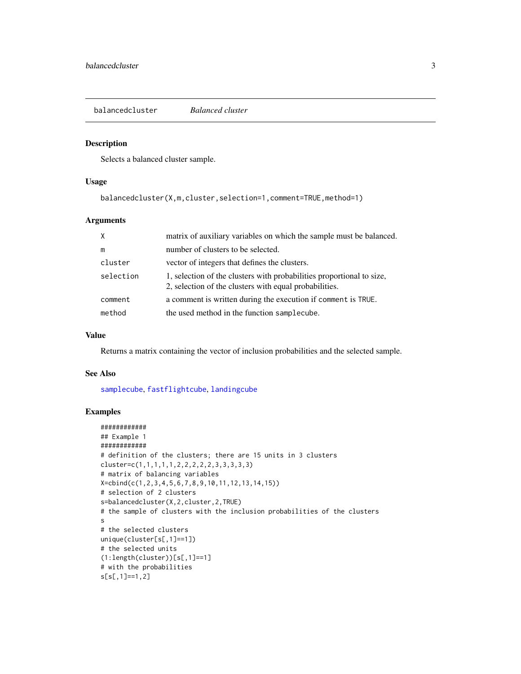<span id="page-2-1"></span><span id="page-2-0"></span>balancedcluster *Balanced cluster*

#### Description

Selects a balanced cluster sample.

#### Usage

balancedcluster(X,m,cluster,selection=1,comment=TRUE,method=1)

# Arguments

| X         | matrix of auxiliary variables on which the sample must be balanced.                                                             |
|-----------|---------------------------------------------------------------------------------------------------------------------------------|
| m         | number of clusters to be selected.                                                                                              |
| cluster   | vector of integers that defines the clusters.                                                                                   |
| selection | 1, selection of the clusters with probabilities proportional to size,<br>2, selection of the clusters with equal probabilities. |
| comment   | a comment is written during the execution if comment is TRUE.                                                                   |
| method    | the used method in the function samplecube.                                                                                     |

# Value

Returns a matrix containing the vector of inclusion probabilities and the selected sample.

# See Also

[samplecube](#page-45-1), [fastflightcube](#page-15-1), [landingcube](#page-25-1)

```
############
## Example 1
############
# definition of the clusters; there are 15 units in 3 clusters
cluster=c(1,1,1,1,1,2,2,2,2,2,3,3,3,3,3)
# matrix of balancing variables
X=cbind(c(1,2,3,4,5,6,7,8,9,10,11,12,13,14,15))
# selection of 2 clusters
s=balancedcluster(X,2,cluster,2,TRUE)
# the sample of clusters with the inclusion probabilities of the clusters
s
# the selected clusters
unique(cluster[s[,1]==1])
# the selected units
(1:length(cluster))[s[,1]==1]
# with the probabilities
s[s[,1]==1,2]
```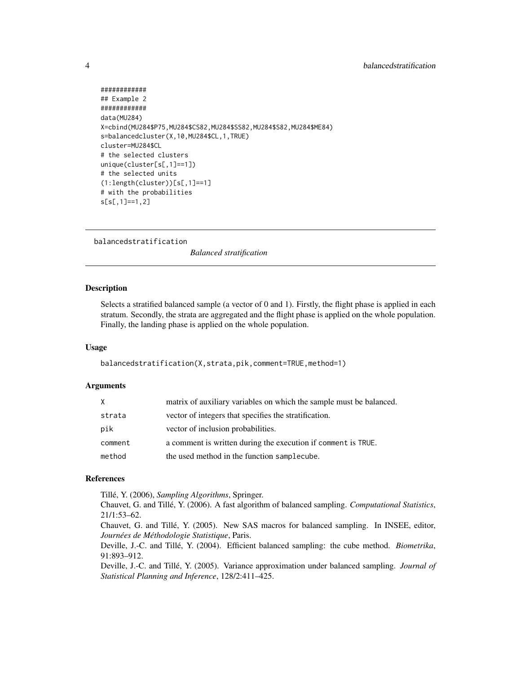# <span id="page-3-0"></span>4 balancedstratification

```
############
## Example 2
############
data(MU284)
X=cbind(MU284$P75,MU284$CS82,MU284$SS82,MU284$S82,MU284$ME84)
s=balancedcluster(X,10,MU284$CL,1,TRUE)
cluster=MU284$CL
# the selected clusters
unique(cluster[s[,1]==1])
# the selected units
(1:length(cluster))[s[,1]==1]
# with the probabilities
s[s[,1]==1,2]
```
<span id="page-3-1"></span>balancedstratification

*Balanced stratification*

# Description

Selects a stratified balanced sample (a vector of 0 and 1). Firstly, the flight phase is applied in each stratum. Secondly, the strata are aggregated and the flight phase is applied on the whole population. Finally, the landing phase is applied on the whole population.

# Usage

balancedstratification(X,strata,pik,comment=TRUE,method=1)

# Arguments

| X       | matrix of auxiliary variables on which the sample must be balanced. |
|---------|---------------------------------------------------------------------|
| strata  | vector of integers that specifies the stratification.               |
| pik     | vector of inclusion probabilities.                                  |
| comment | a comment is written during the execution if comment is TRUE.       |
| method  | the used method in the function samplecube.                         |

#### References

Tillé, Y. (2006), *Sampling Algorithms*, Springer.

Chauvet, G. and Tillé, Y. (2006). A fast algorithm of balanced sampling. *Computational Statistics*, 21/1:53–62.

Chauvet, G. and Tillé, Y. (2005). New SAS macros for balanced sampling. In INSEE, editor, *Journées de Méthodologie Statistique*, Paris.

Deville, J.-C. and Tillé, Y. (2004). Efficient balanced sampling: the cube method. *Biometrika*, 91:893–912.

Deville, J.-C. and Tillé, Y. (2005). Variance approximation under balanced sampling. *Journal of Statistical Planning and Inference*, 128/2:411–425.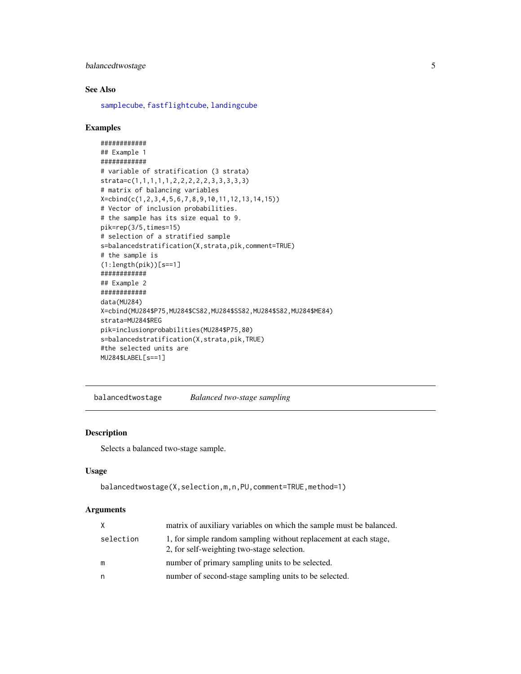# <span id="page-4-0"></span>balancedtwostage 5

# See Also

[samplecube](#page-45-1), [fastflightcube](#page-15-1), [landingcube](#page-25-1)

## Examples

```
############
## Example 1
############
# variable of stratification (3 strata)
strata=c(1,1,1,1,1,2,2,2,2,2,3,3,3,3,3)
# matrix of balancing variables
X=cbind(c(1,2,3,4,5,6,7,8,9,10,11,12,13,14,15))
# Vector of inclusion probabilities.
# the sample has its size equal to 9.
pik=rep(3/5,times=15)
# selection of a stratified sample
s=balancedstratification(X,strata,pik,comment=TRUE)
# the sample is
(1:length(pik))[s==1]
############
## Example 2
############
data(MU284)
X=cbind(MU284$P75,MU284$CS82,MU284$SS82,MU284$S82,MU284$ME84)
strata=MU284$REG
pik=inclusionprobabilities(MU284$P75,80)
s=balancedstratification(X,strata,pik,TRUE)
#the selected units are
MU284$LABEL[s==1]
```
balancedtwostage *Balanced two-stage sampling*

# Description

Selects a balanced two-stage sample.

#### Usage

```
balancedtwostage(X,selection,m,n,PU,comment=TRUE,method=1)
```
# Arguments

| X         | matrix of auxiliary variables on which the sample must be balanced.                                            |
|-----------|----------------------------------------------------------------------------------------------------------------|
| selection | 1, for simple random sampling without replacement at each stage,<br>2, for self-weighting two-stage selection. |
| m         | number of primary sampling units to be selected.                                                               |
| n         | number of second-stage sampling units to be selected.                                                          |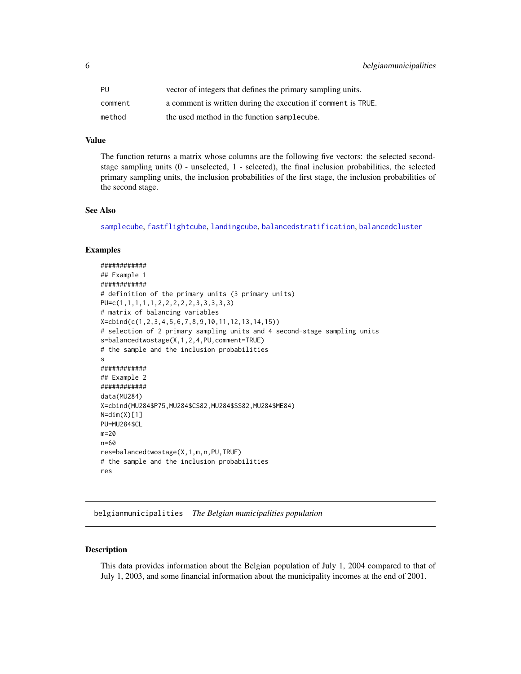<span id="page-5-0"></span>

| PU      | vector of integers that defines the primary sampling units.   |
|---------|---------------------------------------------------------------|
| comment | a comment is written during the execution if comment is TRUE. |
| method  | the used method in the function samplecube.                   |

# Value

The function returns a matrix whose columns are the following five vectors: the selected secondstage sampling units (0 - unselected, 1 - selected), the final inclusion probabilities, the selected primary sampling units, the inclusion probabilities of the first stage, the inclusion probabilities of the second stage.

#### See Also

[samplecube](#page-45-1), [fastflightcube](#page-15-1), [landingcube](#page-25-1), [balancedstratification](#page-3-1), [balancedcluster](#page-2-1)

#### Examples

```
############
## Example 1
############
# definition of the primary units (3 primary units)
PU=c(1,1,1,1,1,2,2,2,2,2,3,3,3,3,3)
# matrix of balancing variables
X=cbind(c(1,2,3,4,5,6,7,8,9,10,11,12,13,14,15))
# selection of 2 primary sampling units and 4 second-stage sampling units
s=balancedtwostage(X,1,2,4,PU,comment=TRUE)
# the sample and the inclusion probabilities
s
############
## Example 2
############
data(MU284)
X=cbind(MU284$P75,MU284$CS82,MU284$SS82,MU284$ME84)
N=dim(X)[1]
PU=MU284$CL
m=20
n=60
res=balancedtwostage(X,1,m,n,PU,TRUE)
# the sample and the inclusion probabilities
res
```
belgianmunicipalities *The Belgian municipalities population*

#### Description

This data provides information about the Belgian population of July 1, 2004 compared to that of July 1, 2003, and some financial information about the municipality incomes at the end of 2001.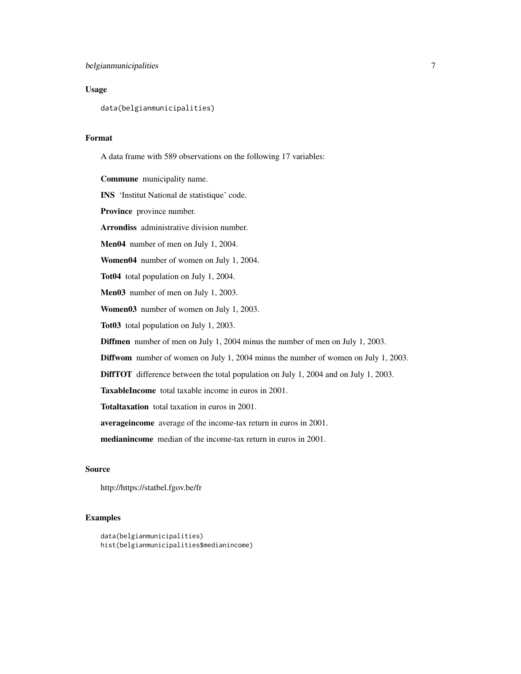# Usage

data(belgianmunicipalities)

# Format

A data frame with 589 observations on the following 17 variables:

Commune municipality name.

INS 'Institut National de statistique' code.

Province province number.

Arrondiss administrative division number.

Men04 number of men on July 1, 2004.

Women04 number of women on July 1, 2004.

Tot04 total population on July 1, 2004.

Men03 number of men on July 1, 2003.

Women03 number of women on July 1, 2003.

Tot03 total population on July 1, 2003.

Diffmen number of men on July 1, 2004 minus the number of men on July 1, 2003.

Diffwom number of women on July 1, 2004 minus the number of women on July 1, 2003.

DiffTOT difference between the total population on July 1, 2004 and on July 1, 2003.

TaxableIncome total taxable income in euros in 2001.

Totaltaxation total taxation in euros in 2001.

averageincome average of the income-tax return in euros in 2001.

medianincome median of the income-tax return in euros in 2001.

# Source

http://https://statbel.fgov.be/fr

```
data(belgianmunicipalities)
hist(belgianmunicipalities$medianincome)
```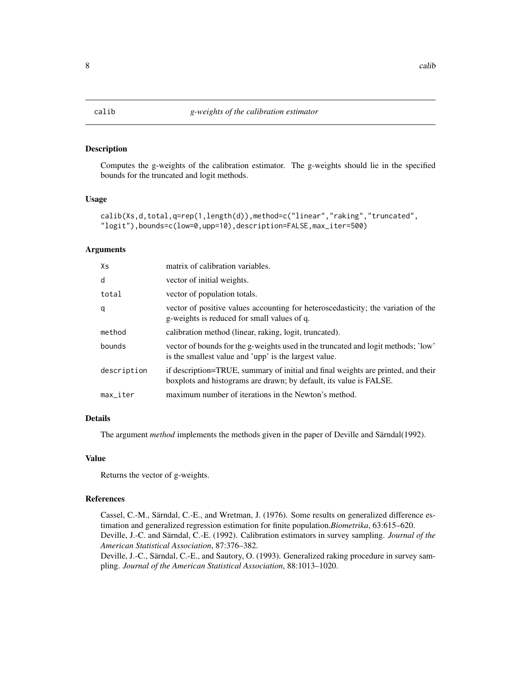# <span id="page-7-1"></span><span id="page-7-0"></span>Description

Computes the g-weights of the calibration estimator. The g-weights should lie in the specified bounds for the truncated and logit methods.

#### Usage

```
calib(Xs,d,total,q=rep(1,length(d)),method=c("linear","raking","truncated",
"logit"),bounds=c(low=0,upp=10),description=FALSE,max_iter=500)
```
# Arguments

| Xs                     | matrix of calibration variables.                                                                                                                       |
|------------------------|--------------------------------------------------------------------------------------------------------------------------------------------------------|
| d                      | vector of initial weights.                                                                                                                             |
| total                  | vector of population totals.                                                                                                                           |
| q                      | vector of positive values accounting for heteroscedasticity; the variation of the<br>g-weights is reduced for small values of q.                       |
| method                 | calibration method (linear, raking, logit, truncated).                                                                                                 |
| bounds                 | vector of bounds for the g-weights used in the truncated and logit methods; 'low'<br>is the smallest value and 'upp' is the largest value.             |
| description            | if description=TRUE, summary of initial and final weights are printed, and their<br>boxplots and histograms are drawn; by default, its value is FALSE. |
| $max$ <sub>Liter</sub> | maximum number of iterations in the Newton's method.                                                                                                   |

# Details

The argument *method* implements the methods given in the paper of Deville and Särndal(1992).

# Value

Returns the vector of g-weights.

# References

Cassel, C.-M., Särndal, C.-E., and Wretman, J. (1976). Some results on generalized difference estimation and generalized regression estimation for finite population.*Biometrika*, 63:615–620. Deville, J.-C. and Särndal, C.-E. (1992). Calibration estimators in survey sampling. *Journal of the American Statistical Association*, 87:376–382. Deville, J.-C., Särndal, C.-E., and Sautory, O. (1993). Generalized raking procedure in survey sam-

pling. *Journal of the American Statistical Association*, 88:1013–1020.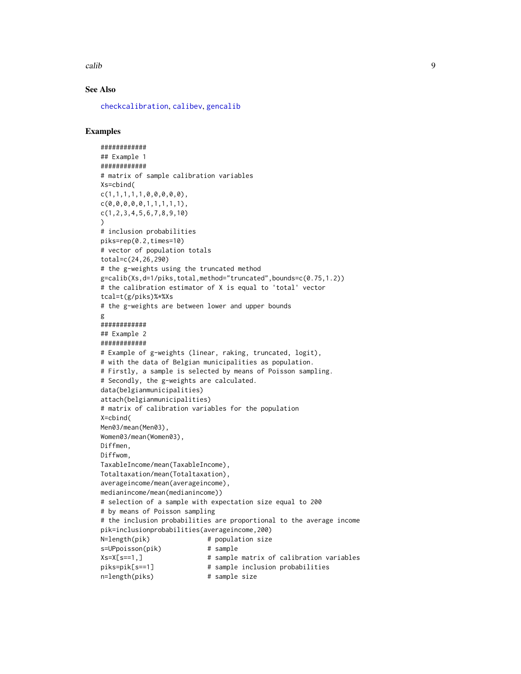calib 9

# See Also

[checkcalibration](#page-11-1), [calibev](#page-9-1), [gencalib](#page-16-1)

```
############
## Example 1
############
# matrix of sample calibration variables
Xs=cbind(
c(1,1,1,1,1,0,0,0,0,0),
c(0,0,0,0,0,1,1,1,1,1),
c(1,2,3,4,5,6,7,8,9,10)
)
# inclusion probabilities
piks=rep(0.2,times=10)
# vector of population totals
total=c(24,26,290)
# the g-weights using the truncated method
g=calib(Xs,d=1/piks,total,method="truncated",bounds=c(0.75,1.2))
# the calibration estimator of X is equal to 'total' vector
tcal=t(g/piks)%*%Xs
# the g-weights are between lower and upper bounds
g
############
## Example 2
############
# Example of g-weights (linear, raking, truncated, logit),
# with the data of Belgian municipalities as population.
# Firstly, a sample is selected by means of Poisson sampling.
# Secondly, the g-weights are calculated.
data(belgianmunicipalities)
attach(belgianmunicipalities)
# matrix of calibration variables for the population
X=cbind(
Men03/mean(Men03),
Women03/mean(Women03),
Diffmen,
Diffwom,
TaxableIncome/mean(TaxableIncome),
Totaltaxation/mean(Totaltaxation),
averageincome/mean(averageincome),
medianincome/mean(medianincome))
# selection of a sample with expectation size equal to 200
# by means of Poisson sampling
# the inclusion probabilities are proportional to the average income
pik=inclusionprobabilities(averageincome,200)
N=length(pik) # population size
s=UPpoisson(pik) # sample
Xs=X[s==1,] # sample matrix of calibration variables
piks=pik[s==1] # sample inclusion probabilities
n=length(piks) # sample size
```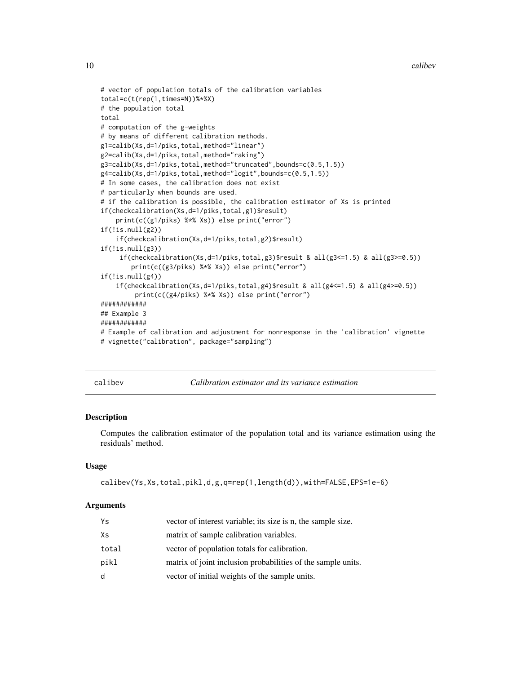```
# vector of population totals of the calibration variables
total=c(t(rep(1,times=N))%*%X)
# the population total
total
# computation of the g-weights
# by means of different calibration methods.
g1=calib(Xs,d=1/piks,total,method="linear")
g2=calib(Xs,d=1/piks,total,method="raking")
g3=calib(Xs,d=1/piks,total,method="truncated",bounds=c(0.5,1.5))
g4=calib(Xs,d=1/piks,total,method="logit",bounds=c(0.5,1.5))
# In some cases, the calibration does not exist
# particularly when bounds are used.
# if the calibration is possible, the calibration estimator of Xs is printed
if(checkcalibration(Xs,d=1/piks,total,g1)$result)
    print(c((g1/piks) %*% Xs)) else print("error")
if(!is.null(g2))
    if(checkcalibration(Xs,d=1/piks,total,g2)$result)
if(!is.null(g3))if(checkcalibration(Xs,d=1/piks,total,g3)$result & all(g3<=1.5) & all(g3>=0.5))
        print(c((g3/piks) %*% Xs)) else print("error")
if(!is.null(g4))if(checkcalibration(Xs,d=1/piks,total,g4)$result & all(g4 <= 1.5) & all(g4 >= 0.5))
         print(c((g4/piks) %*% Xs)) else print("error")
############
## Example 3
############
# Example of calibration and adjustment for nonresponse in the 'calibration' vignette
# vignette("calibration", package="sampling")
```
<span id="page-9-1"></span>calibev *Calibration estimator and its variance estimation*

# Description

Computes the calibration estimator of the population total and its variance estimation using the residuals' method.

# Usage

```
calibev(Ys,Xs,total,pikl,d,g,q=rep(1,length(d)),with=FALSE,EPS=1e-6)
```
#### Arguments

| Ys    | vector of interest variable; its size is n, the sample size. |
|-------|--------------------------------------------------------------|
| Χs    | matrix of sample calibration variables.                      |
| total | vector of population totals for calibration.                 |
| pikl  | matrix of joint inclusion probabilities of the sample units. |
| d     | vector of initial weights of the sample units.               |

<span id="page-9-0"></span>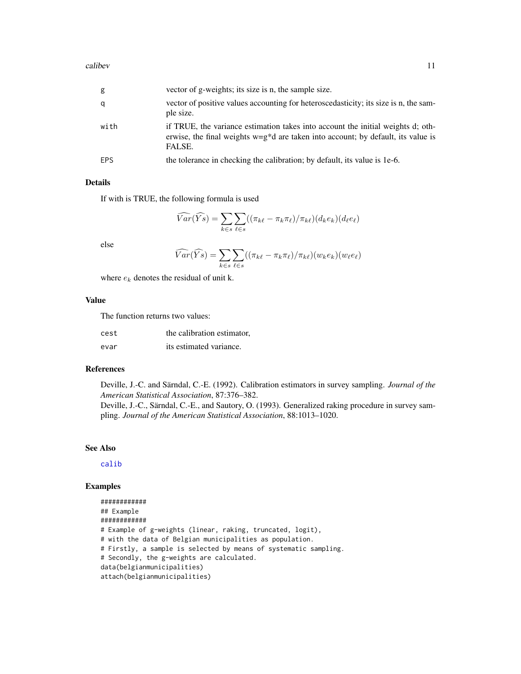#### calibev 11

| g          | vector of g-weights; its size is n, the sample size.                                                                                                                             |
|------------|----------------------------------------------------------------------------------------------------------------------------------------------------------------------------------|
| q          | vector of positive values accounting for heteroscedasticity; its size is n, the sam-<br>ple size.                                                                                |
| with       | if TRUE, the variance estimation takes into account the initial weights d; oth-<br>erwise, the final weights $w=g^*d$ are taken into account; by default, its value is<br>FALSE. |
| <b>EPS</b> | the tolerance in checking the calibration; by default, its value is 1e-6.                                                                                                        |

# Details

If with is TRUE, the following formula is used

$$
\widehat{Var}(\widehat{Ys}) = \sum_{k \in s} \sum_{\ell \in s} ((\pi_{k\ell} - \pi_k \pi_{\ell})/\pi_{k\ell})(d_k e_k)(d_\ell e_\ell)
$$

else

$$
\widehat{Var}(\widehat{Ys}) = \sum_{k \in s} \sum_{\ell \in s} ((\pi_{k\ell} - \pi_k \pi_\ell)/\pi_{k\ell})(w_k e_k)(w_\ell e_\ell)
$$

where  $e_k$  denotes the residual of unit k.

# Value

The function returns two values:

| cest | the calibration estimator, |
|------|----------------------------|
| evar | its estimated variance.    |

#### References

Deville, J.-C. and Särndal, C.-E. (1992). Calibration estimators in survey sampling. *Journal of the American Statistical Association*, 87:376–382.

Deville, J.-C., Särndal, C.-E., and Sautory, O. (1993). Generalized raking procedure in survey sampling. *Journal of the American Statistical Association*, 88:1013–1020.

# See Also

[calib](#page-7-1)

```
############
## Example
############
# Example of g-weights (linear, raking, truncated, logit),
# with the data of Belgian municipalities as population.
# Firstly, a sample is selected by means of systematic sampling.
# Secondly, the g-weights are calculated.
data(belgianmunicipalities)
attach(belgianmunicipalities)
```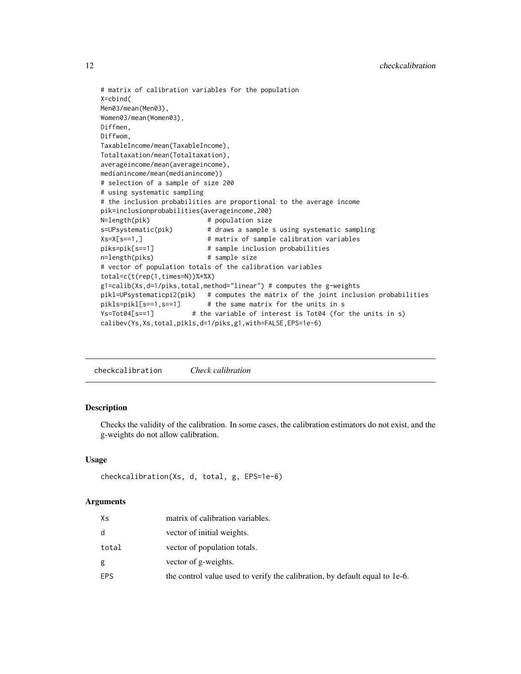# matrix of calibration variables for the population X=cbind( Men03/mean(Men03), Women03/mean(Women03), Diffmen, Diffwom, TaxableIncome/mean(TaxableIncome), Totaltaxation/mean(Totaltaxation), averageincome/mean(averageincome), medianincome/mean(medianincome)) # selection of a sample of size 200 # using systematic sampling # the inclusion probabilities are proportional to the average income pik=inclusionprobabilities(averageincome,200) N=length(pik) # population size s=UPsystematic(pik) # draws a sample s using systematic sampling Xs=X[s==1,] # matrix of sample calibration variables piks=pik[s==1] # sample inclusion probabilities n=length(piks) # sample size # vector of population totals of the calibration variables total=c(t(rep(1,times=N))%\*%X) g1=calib(Xs,d=1/piks,total,method="linear") # computes the g-weights pikl=UPsystematicpi2(pik) # computes the matrix of the joint inclusion probabilities pikls=pikl[s==1,s==1] # the same matrix for the units in s Ys=Tot04[s==1] # the variable of interest is Tot04 (for the units in s) calibev(Ys,Xs,total,pikls,d=1/piks,g1,with=FALSE,EPS=1e-6)

<span id="page-11-1"></span>checkcalibration *Check calibration*

# Description

Checks the validity of the calibration. In some cases, the calibration estimators do not exist, and the g-weights do not allow calibration.

# Usage

```
checkcalibration(Xs, d, total, g, EPS=1e-6)
```
# Arguments

| Xs    | matrix of calibration variables.                                            |
|-------|-----------------------------------------------------------------------------|
| d     | vector of initial weights.                                                  |
| total | vector of population totals.                                                |
| g     | vector of g-weights.                                                        |
| EPS   | the control value used to verify the calibration, by default equal to 1e-6. |

<span id="page-11-0"></span>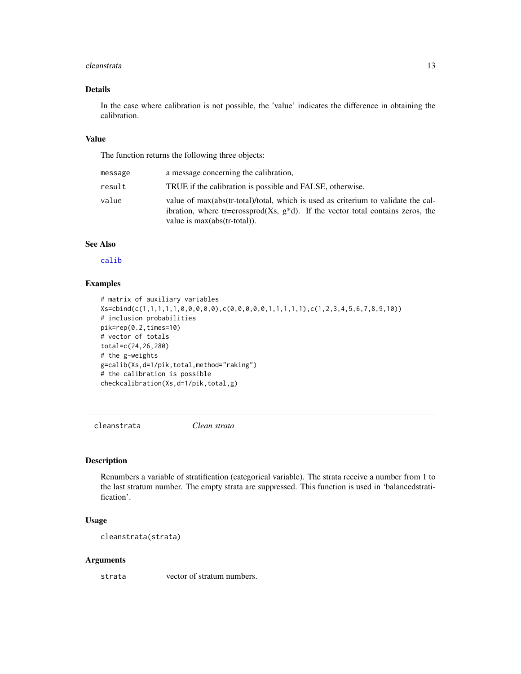#### <span id="page-12-0"></span>cleanstrata and the contract of the contract of the contract of the contract of the contract of the contract of the contract of the contract of the contract of the contract of the contract of the contract of the contract o

# Details

In the case where calibration is not possible, the 'value' indicates the difference in obtaining the calibration.

#### Value

The function returns the following three objects:

| message | a message concerning the calibration,                                                                                                                                                                      |
|---------|------------------------------------------------------------------------------------------------------------------------------------------------------------------------------------------------------------|
| result  | TRUE if the calibration is possible and FALSE, otherwise.                                                                                                                                                  |
| value   | value of max(abs(tr-total)/total, which is used as criterium to validate the cal-<br>ibration, where tr=crossprod(Xs, $g^*d$ ). If the vector total contains zeros, the<br>value is $max(abs(tr-total))$ . |

# See Also

[calib](#page-7-1)

# Examples

```
# matrix of auxiliary variables
Xs=cbind(c(1,1,1,1,1,0,0,0,0,0),c(0,0,0,0,0,1,1,1,1,1),c(1,2,3,4,5,6,7,8,9,10))
# inclusion probabilities
pik=rep(0.2,times=10)
# vector of totals
total=c(24,26,280)
# the g-weights
g=calib(Xs,d=1/pik,total,method="raking")
# the calibration is possible
checkcalibration(Xs,d=1/pik,total,g)
```
cleanstrata *Clean strata*

#### Description

Renumbers a variable of stratification (categorical variable). The strata receive a number from 1 to the last stratum number. The empty strata are suppressed. This function is used in 'balancedstratification'.

# Usage

cleanstrata(strata)

#### Arguments

strata vector of stratum numbers.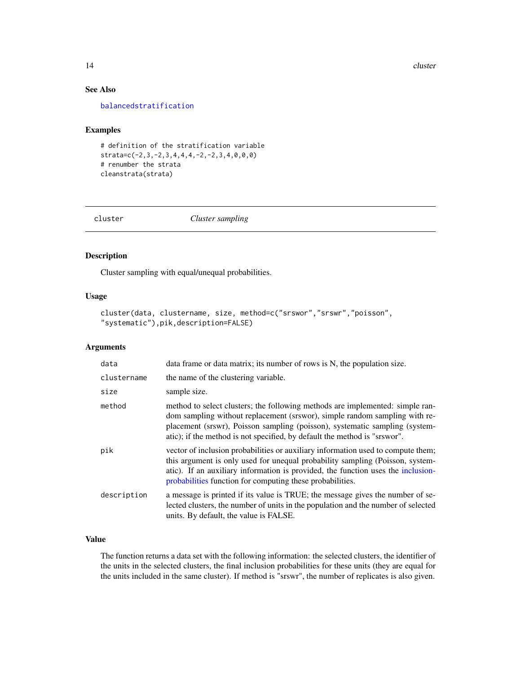14 cluster

# See Also

[balancedstratification](#page-3-1)

# Examples

# definition of the stratification variable strata=c(-2,3,-2,3,4,4,4,-2,-2,3,4,0,0,0) # renumber the strata cleanstrata(strata)

<span id="page-13-1"></span>

cluster *Cluster sampling*

# Description

Cluster sampling with equal/unequal probabilities.

# Usage

```
cluster(data, clustername, size, method=c("srswor","srswr","poisson",
"systematic"),pik,description=FALSE)
```
# Arguments

| data        | data frame or data matrix; its number of rows is N, the population size.                                                                                                                                                                                                                                                |
|-------------|-------------------------------------------------------------------------------------------------------------------------------------------------------------------------------------------------------------------------------------------------------------------------------------------------------------------------|
| clustername | the name of the clustering variable.                                                                                                                                                                                                                                                                                    |
| size        | sample size.                                                                                                                                                                                                                                                                                                            |
| method      | method to select clusters; the following methods are implemented: simple ran-<br>dom sampling without replacement (srswor), simple random sampling with re-<br>placement (srswr), Poisson sampling (poisson), systematic sampling (system-<br>atic); if the method is not specified, by default the method is "srswor". |
| pik         | vector of inclusion probabilities or auxiliary information used to compute them;<br>this argument is only used for unequal probability sampling (Poisson, system-<br>atic). If an auxiliary information is provided, the function uses the inclusion-<br>probabilities function for computing these probabilities.      |
| description | a message is printed if its value is TRUE; the message gives the number of se-<br>lected clusters, the number of units in the population and the number of selected<br>units. By default, the value is FALSE.                                                                                                           |

# Value

The function returns a data set with the following information: the selected clusters, the identifier of the units in the selected clusters, the final inclusion probabilities for these units (they are equal for the units included in the same cluster). If method is "srswr", the number of replicates is also given.

<span id="page-13-0"></span>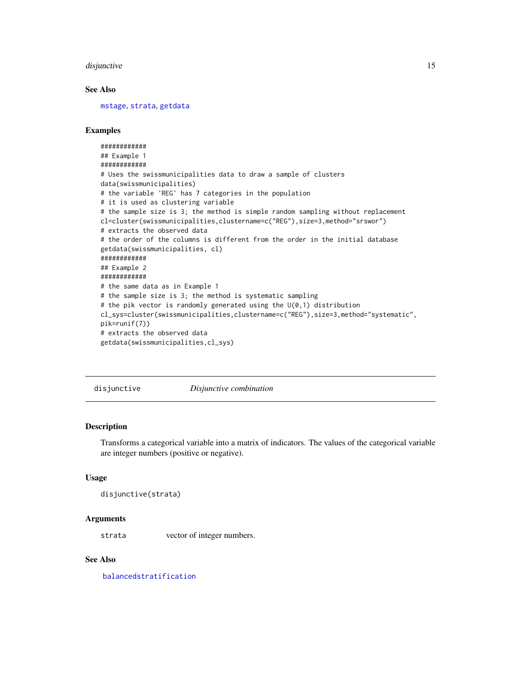#### <span id="page-14-0"></span>disjunctive the contract of the contract of the contract of the contract of the contract of the contract of the contract of the contract of the contract of the contract of the contract of the contract of the contract of th

# See Also

[mstage](#page-26-1), [strata](#page-50-1), [getdata](#page-18-1)

# Examples

```
############
## Example 1
############
# Uses the swissmunicipalities data to draw a sample of clusters
data(swissmunicipalities)
# the variable 'REG' has 7 categories in the population
# it is used as clustering variable
# the sample size is 3; the method is simple random sampling without replacement
cl=cluster(swissmunicipalities,clustername=c("REG"),size=3,method="srswor")
# extracts the observed data
# the order of the columns is different from the order in the initial database
getdata(swissmunicipalities, cl)
############
## Example 2
############
# the same data as in Example 1
# the sample size is 3; the method is systematic sampling
# the pik vector is randomly generated using the U(0,1) distribution
cl_sys=cluster(swissmunicipalities,clustername=c("REG"),size=3,method="systematic",
pik=runif(7))
# extracts the observed data
getdata(swissmunicipalities,cl_sys)
```
disjunctive *Disjunctive combination*

# Description

Transforms a categorical variable into a matrix of indicators. The values of the categorical variable are integer numbers (positive or negative).

# Usage

```
disjunctive(strata)
```
#### Arguments

strata vector of integer numbers.

# See Also

[balancedstratification](#page-3-1)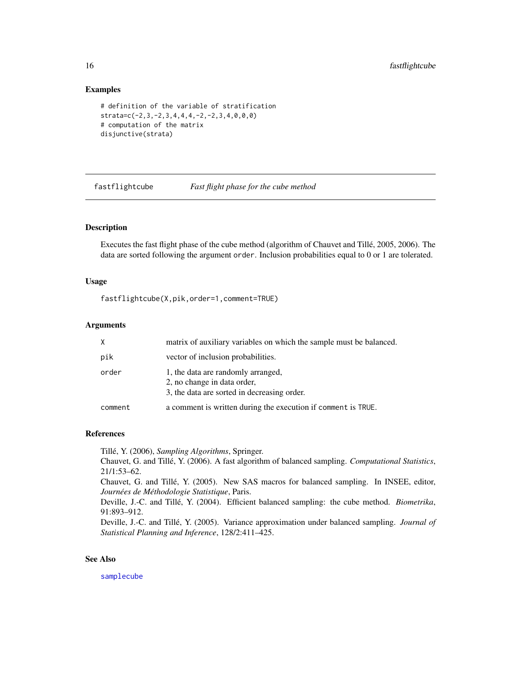# Examples

```
# definition of the variable of stratification
strata=c(-2,3,-2,3,4,4,4,-2,-2,3,4,0,0,0)
# computation of the matrix
disjunctive(strata)
```
<span id="page-15-1"></span>fastflightcube *Fast flight phase for the cube method*

# Description

Executes the fast flight phase of the cube method (algorithm of Chauvet and Tillé, 2005, 2006). The data are sorted following the argument order. Inclusion probabilities equal to 0 or 1 are tolerated.

# Usage

fastflightcube(X,pik,order=1,comment=TRUE)

#### Arguments

|         | matrix of auxiliary variables on which the sample must be balanced.                                              |
|---------|------------------------------------------------------------------------------------------------------------------|
| pik     | vector of inclusion probabilities.                                                                               |
| order   | 1, the data are randomly arranged,<br>2, no change in data order,<br>3, the data are sorted in decreasing order. |
| comment | a comment is written during the execution if comment is TRUE.                                                    |

# References

Tillé, Y. (2006), *Sampling Algorithms*, Springer.

Chauvet, G. and Tillé, Y. (2006). A fast algorithm of balanced sampling. *Computational Statistics*, 21/1:53–62.

Chauvet, G. and Tillé, Y. (2005). New SAS macros for balanced sampling. In INSEE, editor, *Journées de Méthodologie Statistique*, Paris.

Deville, J.-C. and Tillé, Y. (2004). Efficient balanced sampling: the cube method. *Biometrika*, 91:893–912.

Deville, J.-C. and Tillé, Y. (2005). Variance approximation under balanced sampling. *Journal of Statistical Planning and Inference*, 128/2:411–425.

# See Also

[samplecube](#page-45-1)

<span id="page-15-0"></span>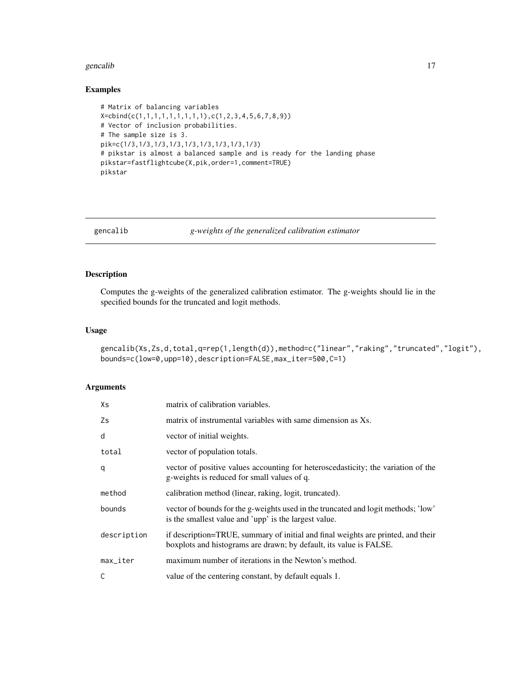#### <span id="page-16-0"></span>gencalib<sup>17</sup>

# Examples

```
# Matrix of balancing variables
X=cbind(c(1,1,1,1,1,1,1,1,1),c(1,2,3,4,5,6,7,8,9))
# Vector of inclusion probabilities.
# The sample size is 3.
pik=c(1/3,1/3,1/3,1/3,1/3,1/3,1/3,1/3,1/3)
# pikstar is almost a balanced sample and is ready for the landing phase
pikstar=fastflightcube(X,pik,order=1,comment=TRUE)
pikstar
```
<span id="page-16-1"></span>

gencalib *g-weights of the generalized calibration estimator*

# Description

Computes the g-weights of the generalized calibration estimator. The g-weights should lie in the specified bounds for the truncated and logit methods.

#### Usage

```
gencalib(Xs,Zs,d,total,q=rep(1,length(d)),method=c("linear","raking","truncated","logit"),
bounds=c(low=0,upp=10),description=FALSE,max_iter=500,C=1)
```
# Arguments

| Хs                     | matrix of calibration variables.                                                                                                                       |
|------------------------|--------------------------------------------------------------------------------------------------------------------------------------------------------|
| Zs                     | matrix of instrumental variables with same dimension as Xs.                                                                                            |
| d                      | vector of initial weights.                                                                                                                             |
| total                  | vector of population totals.                                                                                                                           |
| q                      | vector of positive values accounting for heteroscedasticity; the variation of the<br>g-weights is reduced for small values of q.                       |
| method                 | calibration method (linear, raking, logit, truncated).                                                                                                 |
| bounds                 | vector of bounds for the g-weights used in the truncated and logit methods; 'low'<br>is the smallest value and 'upp' is the largest value.             |
| description            | if description=TRUE, summary of initial and final weights are printed, and their<br>boxplots and histograms are drawn; by default, its value is FALSE. |
| $max$ <sub>Liter</sub> | maximum number of iterations in the Newton's method.                                                                                                   |
| C                      | value of the centering constant, by default equals 1.                                                                                                  |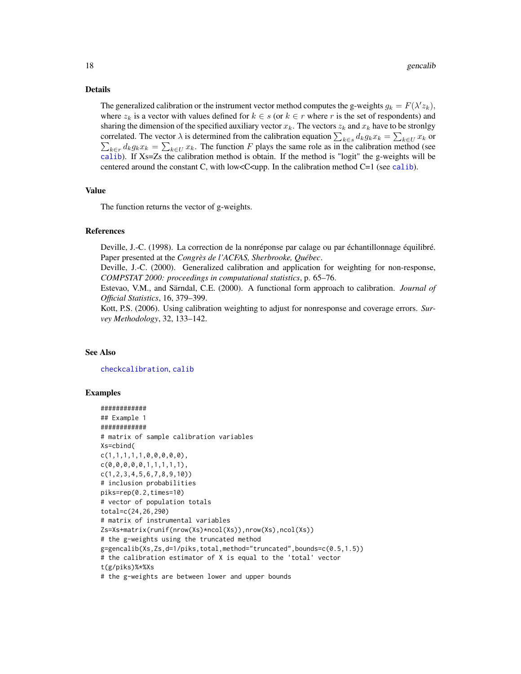#### Details

The generalized calibration or the instrument vector method computes the g-weights  $g_k = F(\lambda' z_k)$ , where  $z_k$  is a vector with values defined for  $k \in s$  (or  $k \in r$  where r is the set of respondents) and sharing the dimension of the specified auxiliary vector  $x_k$ . The vectors  $z_k$  and  $x_k$  have to be stronlgy correlated. The vector  $\lambda$  is determined from the calibration equation  $\sum_{k\in s} d_k g_k x_k = \sum_{k\in U} x_k$  or  $\sum_{k \in r} d_k g_k x_k = \sum_{k \in U} x_k$ . The function F plays the same role as in the calibration method (see [calib](#page-7-1)). If Xs=Zs the calibration method is obtain. If the method is "logit" the g-weights will be centered around the constant C, with low  $<<$ upp. In the [calib](#page-7-1)ration method C=1 (see calib).

### Value

The function returns the vector of g-weights.

#### References

Deville, J.-C. (1998). La correction de la nonréponse par calage ou par échantillonnage équilibré. Paper presented at the *Congrès de l'ACFAS, Sherbrooke, Québec*.

Deville, J.-C. (2000). Generalized calibration and application for weighting for non-response, *COMPSTAT 2000: proceedings in computational statistics*, p. 65–76.

Estevao, V.M., and Särndal, C.E. (2000). A functional form approach to calibration. *Journal of Official Statistics*, 16, 379–399.

Kott, P.S. (2006). Using calibration weighting to adjust for nonresponse and coverage errors. *Survey Methodology*, 32, 133–142.

#### See Also

[checkcalibration](#page-11-1), [calib](#page-7-1)

```
############
## Example 1
############
# matrix of sample calibration variables
Xs=cbind(
c(1,1,1,1,1,0,0,0,0,0),
c(0,0,0,0,0,1,1,1,1,1),
c(1,2,3,4,5,6,7,8,9,10))
# inclusion probabilities
piks=rep(0.2,times=10)
# vector of population totals
total=c(24,26,290)
# matrix of instrumental variables
Zs=Xs+matrix(runif(nrow(Xs)*ncol(Xs)),nrow(Xs),ncol(Xs))
# the g-weights using the truncated method
g=gencalib(Xs,Zs,d=1/piks,total,method="truncated",bounds=c(0.5,1.5))
# the calibration estimator of X is equal to the 'total' vector
t(g/piks)%*%Xs
# the g-weights are between lower and upper bounds
```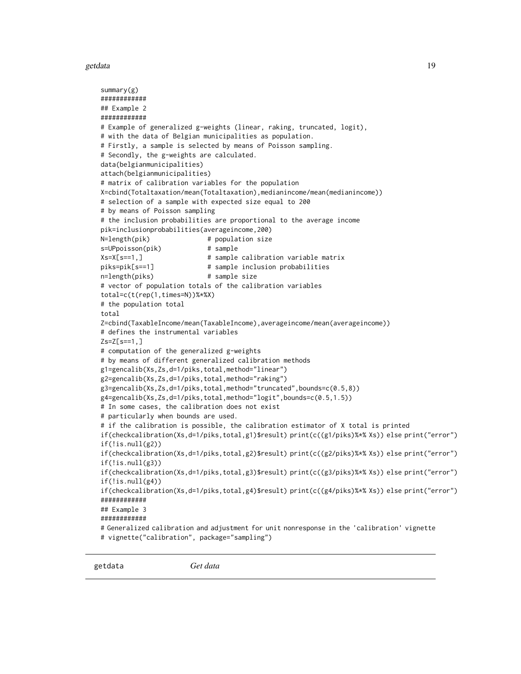#### <span id="page-18-0"></span>getdata **19** and 19 and 19 and 19 and 19 and 19 and 19 and 19 and 19 and 19 and 19 and 19 and 19 and 19 and 19 and 19 and 19 and 19 and 19 and 19 and 19 and 19 and 19 and 19 and 19 and 19 and 19 and 19 and 19 and 19 and 19

```
summary(g)
############
## Example 2
############
# Example of generalized g-weights (linear, raking, truncated, logit),
# with the data of Belgian municipalities as population.
# Firstly, a sample is selected by means of Poisson sampling.
# Secondly, the g-weights are calculated.
data(belgianmunicipalities)
attach(belgianmunicipalities)
# matrix of calibration variables for the population
X=cbind(Totaltaxation/mean(Totaltaxation),medianincome/mean(medianincome))
# selection of a sample with expected size equal to 200
# by means of Poisson sampling
# the inclusion probabilities are proportional to the average income
pik=inclusionprobabilities(averageincome,200)
N=length(pik) # population size
s=UPpoisson(pik) # sample
Xs=X[s==1,] # sample calibration variable matrix
piks=pik[s==1] # sample inclusion probabilities
n=length(piks) # sample size
# vector of population totals of the calibration variables
total=c(t(rep(1,times=N))%*%X)
# the population total
total
Z=cbind(TaxableIncome/mean(TaxableIncome),averageincome/mean(averageincome))
# defines the instrumental variables
Zs=Z[s==1,]
# computation of the generalized g-weights
# by means of different generalized calibration methods
g1=gencalib(Xs,Zs,d=1/piks,total,method="linear")
g2=gencalib(Xs,Zs,d=1/piks,total,method="raking")
g3=gencalib(Xs,Zs,d=1/piks,total,method="truncated",bounds=c(0.5,8))
g4=gencalib(Xs,Zs,d=1/piks,total,method="logit",bounds=c(0.5,1.5))
# In some cases, the calibration does not exist
# particularly when bounds are used.
# if the calibration is possible, the calibration estimator of X total is printed
if(checkcalibration(Xs,d=1/piks,total,g1)$result) print(c((g1/piks)%*% Xs)) else print("error")
if(!is.null(g2))if(checkcalibration(Xs,d=1/piks,total,g2)$result) print(c((g2/piks)%*% Xs)) else print("error")
if(!is.null(g3))if(checkcalibration(Xs,d=1/piks,total,g3)$result) print(c((g3/piks)%*% Xs)) else print("error")
if(!is.null(g4))
if(checkcalibration(Xs,d=1/piks,total,g4)$result) print(c((g4/piks)%*% Xs)) else print("error")
############
## Example 3
############
# Generalized calibration and adjustment for unit nonresponse in the 'calibration' vignette
# vignette("calibration", package="sampling")
```
<span id="page-18-1"></span>getdata *Get data*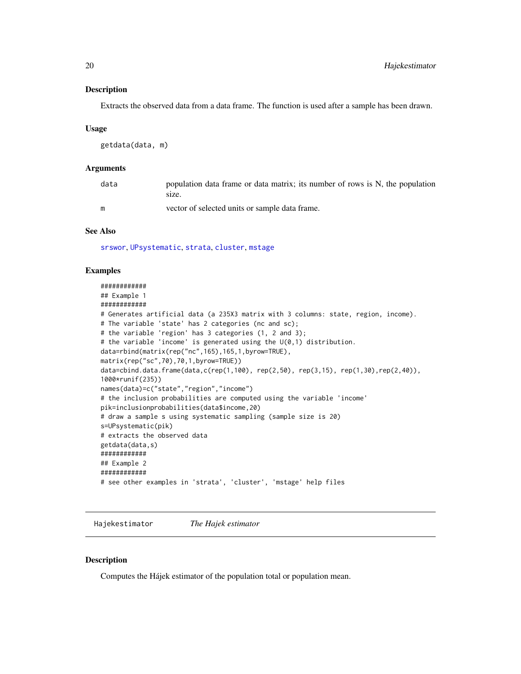# <span id="page-19-0"></span>Description

Extracts the observed data from a data frame. The function is used after a sample has been drawn.

#### Usage

```
getdata(data, m)
```
# Arguments

| data | population data frame or data matrix; its number of rows is N, the population<br>size. |
|------|----------------------------------------------------------------------------------------|
| m    | vector of selected units or sample data frame.                                         |

# See Also

[srswor](#page-47-1), [UPsystematic](#page-67-1), [strata](#page-50-1), [cluster](#page-13-1), [mstage](#page-26-1)

#### Examples

```
############
## Example 1
############
# Generates artificial data (a 235X3 matrix with 3 columns: state, region, income).
# The variable 'state' has 2 categories (nc and sc);
# the variable 'region' has 3 categories (1, 2 and 3);
# the variable 'income' is generated using the U(0,1) distribution.
data=rbind(matrix(rep("nc",165),165,1,byrow=TRUE),
matrix(rep("sc",70),70,1,byrow=TRUE))
data=cbind.data.frame(data,c(rep(1,100), rep(2,50), rep(3,15), rep(1,30),rep(2,40)),
1000*runif(235))
names(data)=c("state","region","income")
# the inclusion probabilities are computed using the variable 'income'
pik=inclusionprobabilities(data$income,20)
# draw a sample s using systematic sampling (sample size is 20)
s=UPsystematic(pik)
# extracts the observed data
getdata(data,s)
############
## Example 2
############
# see other examples in 'strata', 'cluster', 'mstage' help files
```
Hajekestimator *The Hajek estimator*

## **Description**

Computes the Hájek estimator of the population total or population mean.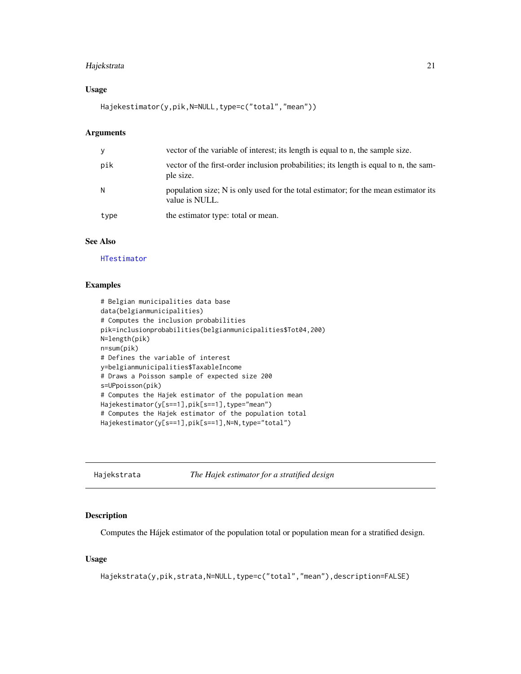# <span id="page-20-0"></span>Hajekstrata 21

# Usage

Hajekestimator(y,pik,N=NULL,type=c("total","mean"))

# Arguments

| y    | vector of the variable of interest; its length is equal to n, the sample size.                        |
|------|-------------------------------------------------------------------------------------------------------|
| pik  | vector of the first-order inclusion probabilities; its length is equal to n, the sam-<br>ple size.    |
| N    | population size; N is only used for the total estimator; for the mean estimator its<br>value is NULL. |
| type | the estimator type: total or mean.                                                                    |

# See Also

[HTestimator](#page-21-1)

# Examples

```
# Belgian municipalities data base
data(belgianmunicipalities)
# Computes the inclusion probabilities
pik=inclusionprobabilities(belgianmunicipalities$Tot04,200)
N=length(pik)
n=sum(pik)
# Defines the variable of interest
y=belgianmunicipalities$TaxableIncome
# Draws a Poisson sample of expected size 200
s=UPpoisson(pik)
# Computes the Hajek estimator of the population mean
Hajekestimator(y[s==1],pik[s==1],type="mean")
# Computes the Hajek estimator of the population total
Hajekestimator(y[s==1],pik[s==1],N=N,type="total")
```
Hajekstrata *The Hajek estimator for a stratified design*

# Description

Computes the Hájek estimator of the population total or population mean for a stratified design.

#### Usage

Hajekstrata(y,pik,strata,N=NULL,type=c("total","mean"),description=FALSE)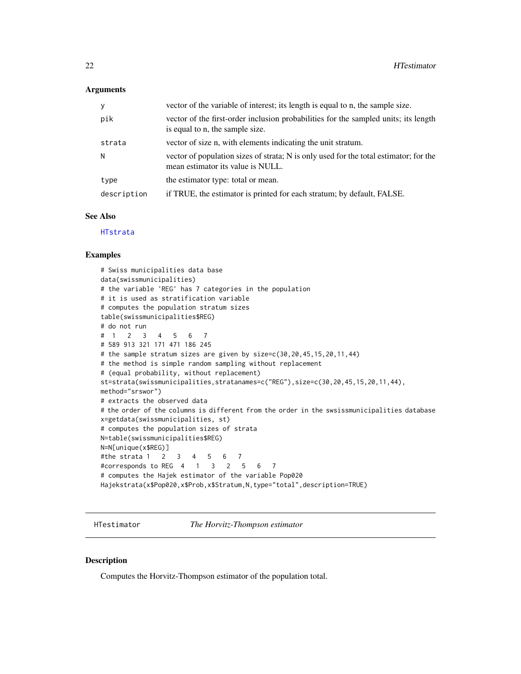#### <span id="page-21-0"></span>Arguments

| У           | vector of the variable of interest; its length is equal to n, the sample size.                                             |
|-------------|----------------------------------------------------------------------------------------------------------------------------|
| pik         | vector of the first-order inclusion probabilities for the sampled units; its length<br>is equal to n, the sample size.     |
| strata      | vector of size n, with elements indicating the unit stratum.                                                               |
| N           | vector of population sizes of strata; N is only used for the total estimator; for the<br>mean estimator its value is NULL. |
| type        | the estimator type: total or mean.                                                                                         |
| description | if TRUE, the estimator is printed for each stratum; by default, FALSE.                                                     |

# See Also

[HTstrata](#page-22-1)

#### Examples

```
# Swiss municipalities data base
data(swissmunicipalities)
# the variable 'REG' has 7 categories in the population
# it is used as stratification variable
# computes the population stratum sizes
table(swissmunicipalities$REG)
# do not run
# 1 2 3 4 5 6 7
# 589 913 321 171 471 186 245
# the sample stratum sizes are given by size=c(30,20,45,15,20,11,44)
# the method is simple random sampling without replacement
# (equal probability, without replacement)
st=strata(swissmunicipalities,stratanames=c("REG"),size=c(30,20,45,15,20,11,44),
method="srswor")
# extracts the observed data
# the order of the columns is different from the order in the swsissmunicipalities database
x=getdata(swissmunicipalities, st)
# computes the population sizes of strata
N=table(swissmunicipalities$REG)
N=N[unique(x$REG)]
#the strata 1 2 3 4 5 6 7
#corresponds to REG 4 1 3 2 5 6 7
# computes the Hajek estimator of the variable Pop020
Hajekstrata(x$Pop020,x$Prob,x$Stratum,N,type="total",description=TRUE)
```
<span id="page-21-1"></span>HTestimator *The Horvitz-Thompson estimator*

#### Description

Computes the Horvitz-Thompson estimator of the population total.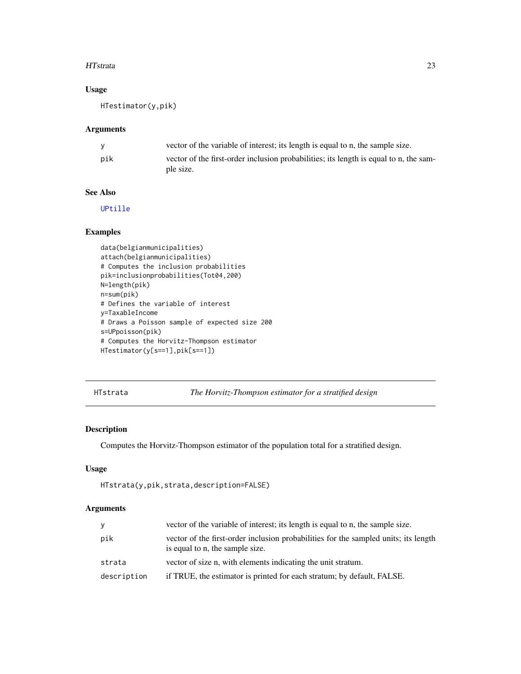# <span id="page-22-0"></span>HTstrata 23

# Usage

HTestimator(y,pik)

# Arguments

|     | vector of the variable of interest; its length is equal to n, the sample size.                     |
|-----|----------------------------------------------------------------------------------------------------|
| pik | vector of the first-order inclusion probabilities; its length is equal to n, the sam-<br>ple size. |

# See Also

[UPtille](#page-69-1)

# Examples

```
data(belgianmunicipalities)
attach(belgianmunicipalities)
# Computes the inclusion probabilities
pik=inclusionprobabilities(Tot04,200)
N=length(pik)
n=sum(pik)
# Defines the variable of interest
y=TaxableIncome
# Draws a Poisson sample of expected size 200
s=UPpoisson(pik)
# Computes the Horvitz-Thompson estimator
HTestimator(y[s==1],pik[s==1])
```
<span id="page-22-1"></span>HTstrata *The Horvitz-Thompson estimator for a stratified design*

# Description

Computes the Horvitz-Thompson estimator of the population total for a stratified design.

# Usage

```
HTstrata(y,pik,strata,description=FALSE)
```
# Arguments

| y           | vector of the variable of interest; its length is equal to n, the sample size.                                         |
|-------------|------------------------------------------------------------------------------------------------------------------------|
| pik         | vector of the first-order inclusion probabilities for the sampled units; its length<br>is equal to n, the sample size. |
| strata      | vector of size n, with elements indicating the unit stratum.                                                           |
| description | if TRUE, the estimator is printed for each stratum; by default, FALSE.                                                 |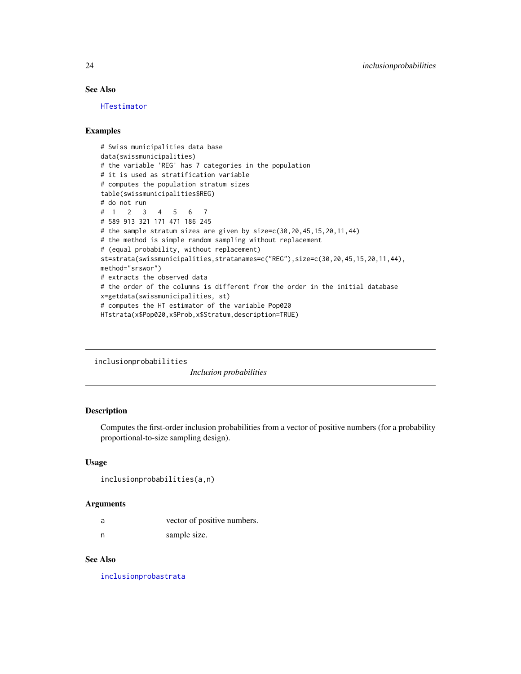# See Also

[HTestimator](#page-21-1)

# Examples

```
# Swiss municipalities data base
data(swissmunicipalities)
# the variable 'REG' has 7 categories in the population
# it is used as stratification variable
# computes the population stratum sizes
table(swissmunicipalities$REG)
# do not run
# 1 2 3 4 5 6 7
# 589 913 321 171 471 186 245
# the sample stratum sizes are given by size=c(30,20,45,15,20,11,44)
# the method is simple random sampling without replacement
# (equal probability, without replacement)
st=strata(swissmunicipalities,stratanames=c("REG"),size=c(30,20,45,15,20,11,44),
method="srswor")
# extracts the observed data
# the order of the columns is different from the order in the initial database
x=getdata(swissmunicipalities, st)
# computes the HT estimator of the variable Pop020
HTstrata(x$Pop020,x$Prob,x$Stratum,description=TRUE)
```

```
inclusionprobabilities
```
*Inclusion probabilities*

#### Description

Computes the first-order inclusion probabilities from a vector of positive numbers (for a probability proportional-to-size sampling design).

# Usage

```
inclusionprobabilities(a,n)
```
#### Arguments

| a | vector of positive numbers. |
|---|-----------------------------|
| n | sample size.                |

# See Also

[inclusionprobastrata](#page-24-1)

<span id="page-23-0"></span>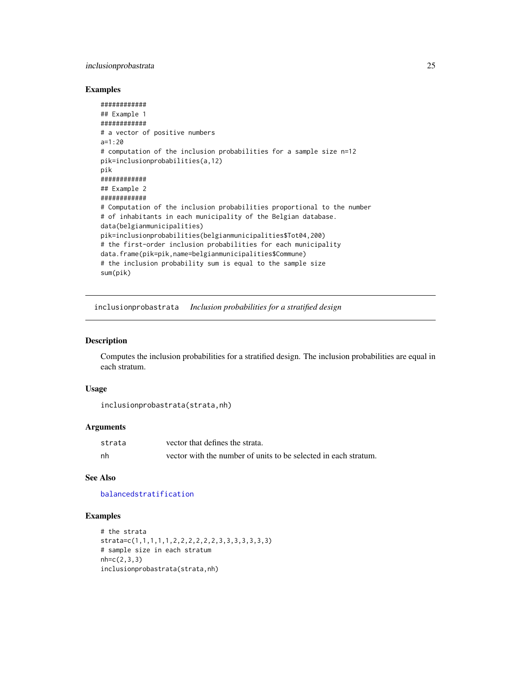# <span id="page-24-0"></span>inclusionprobastrata 25

# Examples

```
############
## Example 1
############
# a vector of positive numbers
a=1:20
# computation of the inclusion probabilities for a sample size n=12
pik=inclusionprobabilities(a,12)
pik
############
## Example 2
############
# Computation of the inclusion probabilities proportional to the number
# of inhabitants in each municipality of the Belgian database.
data(belgianmunicipalities)
pik=inclusionprobabilities(belgianmunicipalities$Tot04,200)
# the first-order inclusion probabilities for each municipality
data.frame(pik=pik,name=belgianmunicipalities$Commune)
# the inclusion probability sum is equal to the sample size
sum(pik)
```
<span id="page-24-1"></span>inclusionprobastrata *Inclusion probabilities for a stratified design*

# Description

Computes the inclusion probabilities for a stratified design. The inclusion probabilities are equal in each stratum.

#### Usage

```
inclusionprobastrata(strata,nh)
```
#### **Arguments**

| strata | vector that defines the strata.                                 |
|--------|-----------------------------------------------------------------|
| nh     | vector with the number of units to be selected in each stratum. |

#### See Also

#### [balancedstratification](#page-3-1)

```
# the strata
strata=c(1,1,1,1,1,2,2,2,2,2,2,3,3,3,3,3,3,3)
# sample size in each stratum
nh=c(2,3,3)
inclusionprobastrata(strata,nh)
```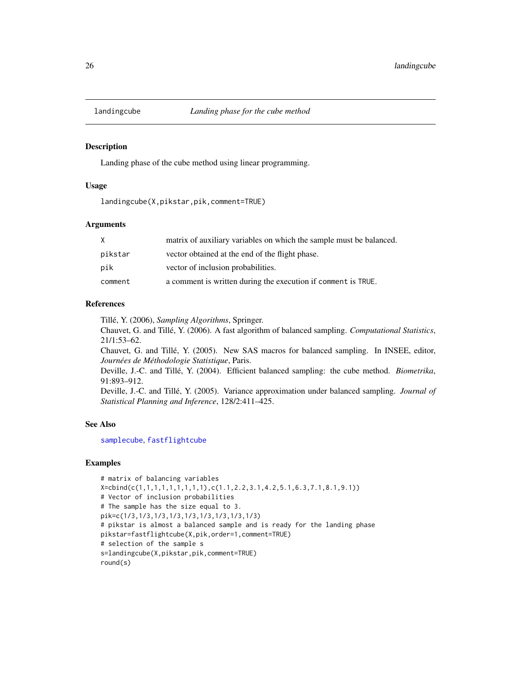<span id="page-25-1"></span><span id="page-25-0"></span>

## Description

Landing phase of the cube method using linear programming.

# Usage

landingcube(X,pikstar,pik,comment=TRUE)

# Arguments

| X       | matrix of auxiliary variables on which the sample must be balanced. |
|---------|---------------------------------------------------------------------|
| pikstar | vector obtained at the end of the flight phase.                     |
| pik     | vector of inclusion probabilities.                                  |
| comment | a comment is written during the execution if comment is TRUE.       |

# References

Tillé, Y. (2006), *Sampling Algorithms*, Springer.

Chauvet, G. and Tillé, Y. (2006). A fast algorithm of balanced sampling. *Computational Statistics*, 21/1:53–62.

Chauvet, G. and Tillé, Y. (2005). New SAS macros for balanced sampling. In INSEE, editor, *Journées de Méthodologie Statistique*, Paris.

Deville, J.-C. and Tillé, Y. (2004). Efficient balanced sampling: the cube method. *Biometrika*, 91:893–912.

Deville, J.-C. and Tillé, Y. (2005). Variance approximation under balanced sampling. *Journal of Statistical Planning and Inference*, 128/2:411–425.

#### See Also

[samplecube](#page-45-1), [fastflightcube](#page-15-1)

```
# matrix of balancing variables
X=cbind(c(1,1,1,1,1,1,1,1,1),c(1.1,2.2,3.1,4.2,5.1,6.3,7.1,8.1,9.1))
# Vector of inclusion probabilities
# The sample has the size equal to 3.
pik=c(1/3,1/3,1/3,1/3,1/3,1/3,1/3,1/3,1/3)
# pikstar is almost a balanced sample and is ready for the landing phase
pikstar=fastflightcube(X,pik,order=1,comment=TRUE)
# selection of the sample s
s=landingcube(X,pikstar,pik,comment=TRUE)
round(s)
```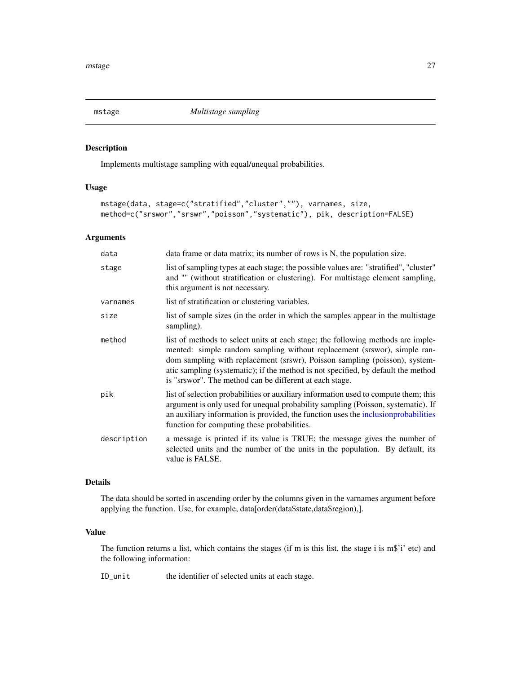<span id="page-26-1"></span><span id="page-26-0"></span>

#### Description

Implements multistage sampling with equal/unequal probabilities.

# Usage

```
mstage(data, stage=c("stratified","cluster",""), varnames, size,
method=c("srswor","srswr","poisson","systematic"), pik, description=FALSE)
```
# Arguments

| data        | data frame or data matrix; its number of rows is N, the population size.                                                                                                                                                                                                                                                                                                                  |
|-------------|-------------------------------------------------------------------------------------------------------------------------------------------------------------------------------------------------------------------------------------------------------------------------------------------------------------------------------------------------------------------------------------------|
| stage       | list of sampling types at each stage; the possible values are: "stratified", "cluster"<br>and "" (without stratification or clustering). For multistage element sampling,<br>this argument is not necessary.                                                                                                                                                                              |
| varnames    | list of stratification or clustering variables.                                                                                                                                                                                                                                                                                                                                           |
| size        | list of sample sizes (in the order in which the samples appear in the multistage<br>sampling).                                                                                                                                                                                                                                                                                            |
| method      | list of methods to select units at each stage; the following methods are imple-<br>mented: simple random sampling without replacement (srswor), simple ran-<br>dom sampling with replacement (srswr), Poisson sampling (poisson), system-<br>atic sampling (systematic); if the method is not specified, by default the method<br>is "srswor". The method can be different at each stage. |
| pik         | list of selection probabilities or auxiliary information used to compute them; this<br>argument is only used for unequal probability sampling (Poisson, systematic). If<br>an auxiliary information is provided, the function uses the inclusion probabilities<br>function for computing these probabilities.                                                                             |
| description | a message is printed if its value is TRUE; the message gives the number of<br>selected units and the number of the units in the population. By default, its<br>value is FALSE.                                                                                                                                                                                                            |

# Details

The data should be sorted in ascending order by the columns given in the varnames argument before applying the function. Use, for example, data[order(data\$state,data\$region),].

#### Value

The function returns a list, which contains the stages (if m is this list, the stage i is m\$'i' etc) and the following information:

ID\_unit the identifier of selected units at each stage.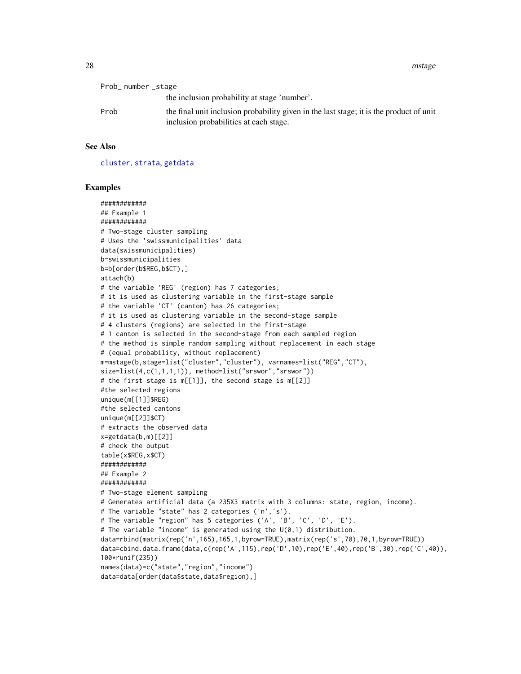28 mstage metals and the set of the set of the set of the set of the set of the set of the set of the set of the set of the set of the set of the set of the set of the set of the set of the set of the set of the set of the

| Prob_number_stage |                                                                                                                                   |
|-------------------|-----------------------------------------------------------------------------------------------------------------------------------|
|                   | the inclusion probability at stage 'number'.                                                                                      |
| Prob              | the final unit inclusion probability given in the last stage; it is the product of unit<br>inclusion probabilities at each stage. |

# See Also

[cluster](#page-13-1), [strata](#page-50-1), [getdata](#page-18-1)

```
############
## Example 1
############
# Two-stage cluster sampling
# Uses the 'swissmunicipalities' data
data(swissmunicipalities)
b=swissmunicipalities
b=b[order(b$REG,b$CT),]
attach(b)
# the variable 'REG' (region) has 7 categories;
# it is used as clustering variable in the first-stage sample
# the variable 'CT' (canton) has 26 categories;
# it is used as clustering variable in the second-stage sample
# 4 clusters (regions) are selected in the first-stage
# 1 canton is selected in the second-stage from each sampled region
# the method is simple random sampling without replacement in each stage
# (equal probability, without replacement)
m=mstage(b,stage=list("cluster","cluster"), varnames=list("REG","CT"),
size=list(4,c(1,1,1,1)), method=list("srswor","srswor"))
# the first stage is m[[1]], the second stage is m[[2]]
#the selected regions
unique(m[[1]]$REG)
#the selected cantons
unique(m[[2]]$CT)
# extracts the observed data
x=getdata(b,m)[[2]]
# check the output
table(x$REG,x$CT)
############
## Example 2
############
# Two-stage element sampling
# Generates artificial data (a 235X3 matrix with 3 columns: state, region, income).
# The variable "state" has 2 categories ('n','s').
# The variable "region" has 5 categories ('A', 'B', 'C', 'D', 'E').
# The variable "income" is generated using the U(0,1) distribution.
data=rbind(matrix(rep('n',165),165,1,byrow=TRUE),matrix(rep('s',70),70,1,byrow=TRUE))
data=cbind.data.frame(data,c(rep('A',115),rep('D',10),rep('E',40),rep('B',30),rep('C',40)),
100*runif(235))
names(data)=c("state","region","income")
data=data[order(data$state,data$region),]
```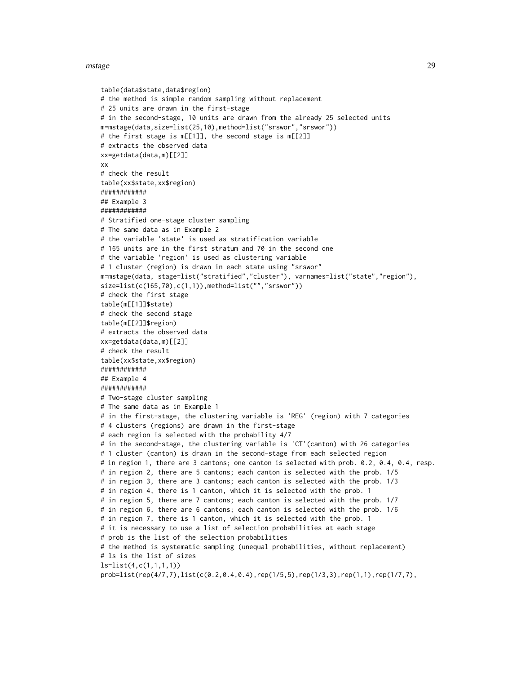#### mstage 29

```
table(data$state,data$region)
# the method is simple random sampling without replacement
# 25 units are drawn in the first-stage
# in the second-stage, 10 units are drawn from the already 25 selected units
m=mstage(data,size=list(25,10),method=list("srswor","srswor"))
# the first stage is m[[1]], the second stage is m[[2]]
# extracts the observed data
xx=getdata(data,m)[[2]]
xx
# check the result
table(xx$state,xx$region)
############
## Example 3
############
# Stratified one-stage cluster sampling
# The same data as in Example 2
# the variable 'state' is used as stratification variable
# 165 units are in the first stratum and 70 in the second one
# the variable 'region' is used as clustering variable
# 1 cluster (region) is drawn in each state using "srswor"
m=mstage(data, stage=list("stratified","cluster"), varnames=list("state","region"),
size=list(c(165,70),c(1,1)), method=list("", "srswor"))
# check the first stage
table(m[[1]]$state)
# check the second stage
table(m[[2]]$region)
# extracts the observed data
xx=getdata(data,m)[[2]]
# check the result
table(xx$state,xx$region)
############
## Example 4
############
# Two-stage cluster sampling
# The same data as in Example 1
# in the first-stage, the clustering variable is 'REG' (region) with 7 categories
# 4 clusters (regions) are drawn in the first-stage
# each region is selected with the probability 4/7
# in the second-stage, the clustering variable is 'CT'(canton) with 26 categories
# 1 cluster (canton) is drawn in the second-stage from each selected region
# in region 1, there are 3 cantons; one canton is selected with prob. 0.2, 0.4, 0.4, resp.
# in region 2, there are 5 cantons; each canton is selected with the prob. 1/5
# in region 3, there are 3 cantons; each canton is selected with the prob. 1/3
# in region 4, there is 1 canton, which it is selected with the prob. 1
# in region 5, there are 7 cantons; each canton is selected with the prob. 1/7
# in region 6, there are 6 cantons; each canton is selected with the prob. 1/6
# in region 7, there is 1 canton, which it is selected with the prob. 1
# it is necessary to use a list of selection probabilities at each stage
# prob is the list of the selection probabilities
# the method is systematic sampling (unequal probabilities, without replacement)
# ls is the list of sizes
ls=list(4,c(1,1,1,1))
prob=list(rep(4/7,7),list(c(0.2,0.4,0.4),rep(1/5,5),rep(1/3,3),rep(1,1),rep(1/7,7),
```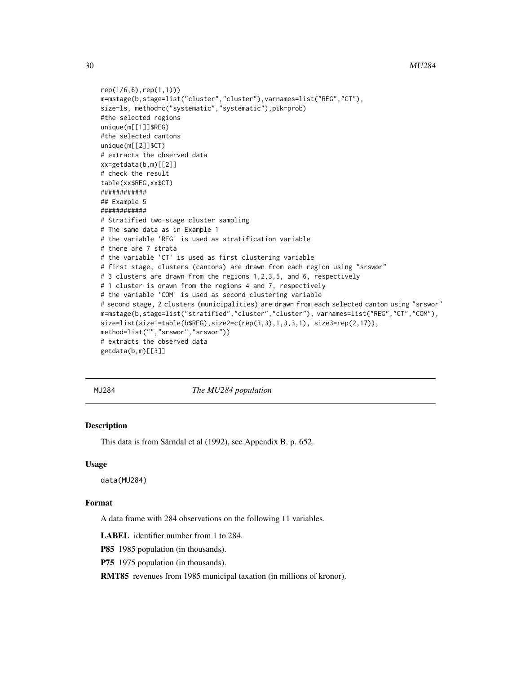# <span id="page-29-0"></span>30 MU284

```
rep(1/6,6),rep(1,1)))
m=mstage(b,stage=list("cluster","cluster"),varnames=list("REG","CT"),
size=ls, method=c("systematic","systematic"),pik=prob)
#the selected regions
unique(m[[1]]$REG)
#the selected cantons
unique(m[[2]]$CT)
# extracts the observed data
xx=getdata(b,m)[[2]]
# check the result
table(xx$REG,xx$CT)
############
## Example 5
############
# Stratified two-stage cluster sampling
# The same data as in Example 1
# the variable 'REG' is used as stratification variable
# there are 7 strata
# the variable 'CT' is used as first clustering variable
# first stage, clusters (cantons) are drawn from each region using "srswor"
# 3 clusters are drawn from the regions 1,2,3,5, and 6, respectively
# 1 cluster is drawn from the regions 4 and 7, respectively
# the variable 'COM' is used as second clustering variable
# second stage, 2 clusters (municipalities) are drawn from each selected canton using "srswor"
m=mstage(b,stage=list("stratified","cluster","cluster"), varnames=list("REG","CT","COM"),
size=list(size1=table(b$REG),size2=c(rep(3,3),1,3,3,1), size3=rep(2,17)),
method=list("","srswor","srswor"))
# extracts the observed data
getdata(b,m)[[3]]
```
MU284 *The MU284 population*

# Description

This data is from Särndal et al (1992), see Appendix B, p. 652.

#### Usage

data(MU284)

#### Format

A data frame with 284 observations on the following 11 variables.

LABEL identifier number from 1 to 284.

P85 1985 population (in thousands).

P75 1975 population (in thousands).

RMT85 revenues from 1985 municipal taxation (in millions of kronor).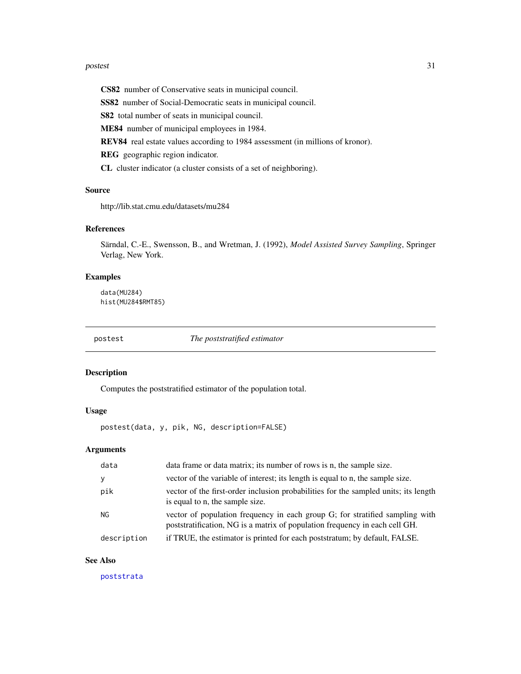#### <span id="page-30-0"></span>postest 31

CS82 number of Conservative seats in municipal council.

SS82 number of Social-Democratic seats in municipal council.

S82 total number of seats in municipal council.

ME84 number of municipal employees in 1984.

REV84 real estate values according to 1984 assessment (in millions of kronor).

REG geographic region indicator.

CL cluster indicator (a cluster consists of a set of neighboring).

### Source

http://lib.stat.cmu.edu/datasets/mu284

# References

Särndal, C.-E., Swensson, B., and Wretman, J. (1992), *Model Assisted Survey Sampling*, Springer Verlag, New York.

# Examples

data(MU284) hist(MU284\$RMT85)

<span id="page-30-1"></span>postest *The poststratified estimator*

#### Description

Computes the poststratified estimator of the population total.

#### Usage

postest(data, y, pik, NG, description=FALSE)

# Arguments

| vector of the variable of interest; its length is equal to n, the sample size.<br>pik<br>is equal to n, the sample size.<br>NG<br>poststratification, NG is a matrix of population frequency in each cell GH.<br>if TRUE, the estimator is printed for each poststratum; by default, FALSE.<br>description | data | data frame or data matrix; its number of rows is n, the sample size.                |
|------------------------------------------------------------------------------------------------------------------------------------------------------------------------------------------------------------------------------------------------------------------------------------------------------------|------|-------------------------------------------------------------------------------------|
|                                                                                                                                                                                                                                                                                                            |      |                                                                                     |
|                                                                                                                                                                                                                                                                                                            |      | vector of the first-order inclusion probabilities for the sampled units; its length |
|                                                                                                                                                                                                                                                                                                            |      | vector of population frequency in each group G; for stratified sampling with        |
|                                                                                                                                                                                                                                                                                                            |      |                                                                                     |

# See Also

[poststrata](#page-33-1)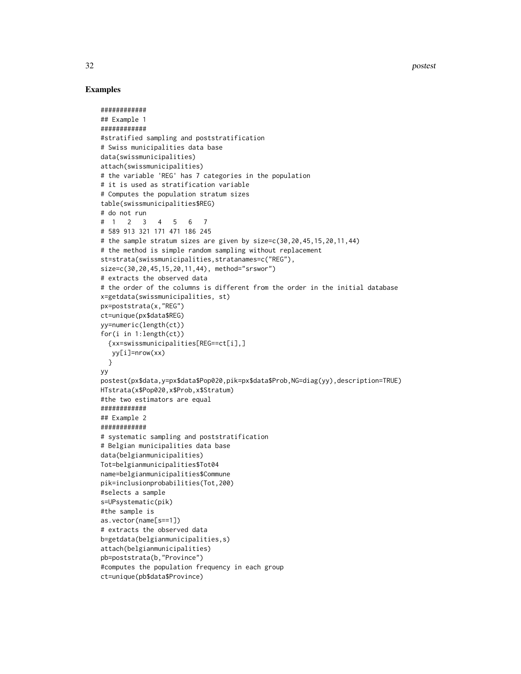32 postest

```
############
## Example 1
############
#stratified sampling and poststratification
# Swiss municipalities data base
data(swissmunicipalities)
attach(swissmunicipalities)
# the variable 'REG' has 7 categories in the population
# it is used as stratification variable
# Computes the population stratum sizes
table(swissmunicipalities$REG)
# do not run
# 1 2 3 4 5 6 7
# 589 913 321 171 471 186 245
# the sample stratum sizes are given by size=c(30,20,45,15,20,11,44)
# the method is simple random sampling without replacement
st=strata(swissmunicipalities,stratanames=c("REG"),
size=c(30,20,45,15,20,11,44), method="srswor")
# extracts the observed data
# the order of the columns is different from the order in the initial database
x=getdata(swissmunicipalities, st)
px=poststrata(x,"REG")
ct=unique(px$data$REG)
yy=numeric(length(ct))
for(i in 1:length(ct))
  {xx=swissmunicipalities[REG==ct[i],]
  yy[i]=nrow(xx)
  }
yy
postest(px$data,y=px$data$Pop020,pik=px$data$Prob,NG=diag(yy),description=TRUE)
HTstrata(x$Pop020,x$Prob,x$Stratum)
#the two estimators are equal
############
## Example 2
############
# systematic sampling and poststratification
# Belgian municipalities data base
data(belgianmunicipalities)
Tot=belgianmunicipalities$Tot04
name=belgianmunicipalities$Commune
pik=inclusionprobabilities(Tot,200)
#selects a sample
s=UPsystematic(pik)
#the sample is
as.vector(name[s==1])
# extracts the observed data
b=getdata(belgianmunicipalities,s)
attach(belgianmunicipalities)
pb=poststrata(b,"Province")
#computes the population frequency in each group
ct=unique(pb$data$Province)
```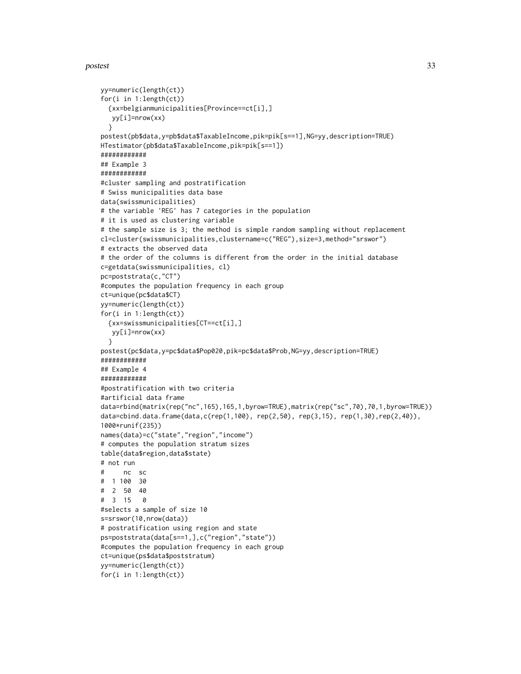#### postest 33

```
yy=numeric(length(ct))
for(i in 1:length(ct))
 {xx=belgianmunicipalities[Province==ct[i],]
  yy[i]=nrow(xx)
 }
postest(pb$data,y=pb$data$TaxableIncome,pik=pik[s==1],NG=yy,description=TRUE)
HTestimator(pb$data$TaxableIncome,pik=pik[s==1])
############
## Example 3
############
#cluster sampling and postratification
# Swiss municipalities data base
data(swissmunicipalities)
# the variable 'REG' has 7 categories in the population
# it is used as clustering variable
# the sample size is 3; the method is simple random sampling without replacement
cl=cluster(swissmunicipalities,clustername=c("REG"),size=3,method="srswor")
# extracts the observed data
# the order of the columns is different from the order in the initial database
c=getdata(swissmunicipalities, cl)
pc=poststrata(c,"CT")
#computes the population frequency in each group
ct=unique(pc$data$CT)
yy=numeric(length(ct))
for(i in 1:length(ct))
 {xx=swissmunicipalities[CT==ct[i],]
  yy[i]=nrow(xx)
 }
postest(pc$data,y=pc$data$Pop020,pik=pc$data$Prob,NG=yy,description=TRUE)
############
## Example 4
############
#postratification with two criteria
#artificial data frame
data=rbind(matrix(rep("nc",165),165,1,byrow=TRUE),matrix(rep("sc",70),70,1,byrow=TRUE))
data=cbind.data.frame(data,c(rep(1,100), rep(2,50), rep(3,15), rep(1,30),rep(2,40)),
1000*runif(235))
names(data)=c("state","region","income")
# computes the population stratum sizes
table(data$region,data$state)
# not run
# nc sc
# 1 100 30
# 2 50 40
# 3 15 0
#selects a sample of size 10
s=srswor(10,nrow(data))
# postratification using region and state
ps=poststrata(data[s==1,],c("region","state"))
#computes the population frequency in each group
ct=unique(ps$data$poststratum)
yy=numeric(length(ct))
for(i in 1:length(ct))
```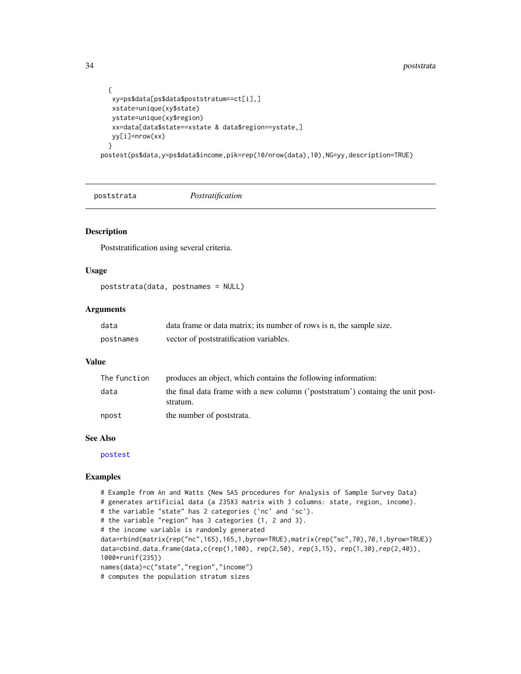```
{
  xy=ps$data[ps$data$poststratum==ct[i],]
  xstate=unique(xy$state)
  ystate=unique(xy$region)
  xx=data[data$state==xstate & data$region==ystate,]
  yy[i]=nrow(xx)
 }
postest(ps$data,y=ps$data$income,pik=rep(10/nrow(data),10),NG=yy,description=TRUE)
```
<span id="page-33-1"></span>poststrata *Postratification*

#### Description

Poststratification using several criteria.

# Usage

```
poststrata(data, postnames = NULL)
```
#### Arguments

| data      | data frame or data matrix; its number of rows is n, the sample size. |
|-----------|----------------------------------------------------------------------|
| postnames | vector of poststratification variables.                              |

#### Value

| The function | produces an object, which contains the following information:                              |
|--------------|--------------------------------------------------------------------------------------------|
| data         | the final data frame with a new column ('poststratum') containg the unit post-<br>stratum. |
| npost        | the number of poststrata.                                                                  |

#### See Also

[postest](#page-30-1)

```
# Example from An and Watts (New SAS procedures for Analysis of Sample Survey Data)
# generates artificial data (a 235X3 matrix with 3 columns: state, region, income).
# the variable "state" has 2 categories ('nc' and 'sc').
# the variable "region" has 3 categories (1, 2 and 3).
# the income variable is randomly generated
data=rbind(matrix(rep("nc",165),165,1,byrow=TRUE),matrix(rep("sc",70),70,1,byrow=TRUE))
data=cbind.data.frame(data,c(rep(1,100), rep(2,50), rep(3,15), rep(1,30),rep(2,40)),
1000*runif(235))
names(data)=c("state","region","income")
# computes the population stratum sizes
```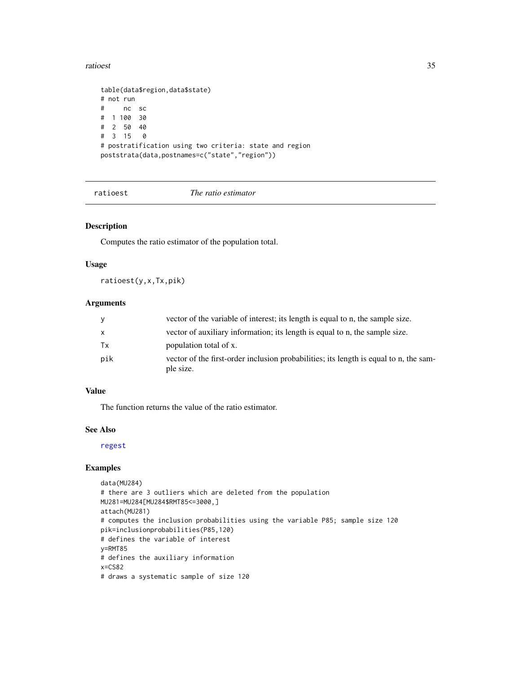#### <span id="page-34-0"></span>ratioest 35

```
table(data$region,data$state)
# not run
# nc sc
# 1 100 30
# 2 50 40
# 3 15 0
# postratification using two criteria: state and region
poststrata(data,postnames=c("state","region"))
```
<span id="page-34-1"></span>ratioest *The ratio estimator*

# Description

Computes the ratio estimator of the population total.

#### Usage

ratioest(y,x,Tx,pik)

# Arguments

| y   | vector of the variable of interest; its length is equal to n, the sample size.                     |
|-----|----------------------------------------------------------------------------------------------------|
| X   | vector of auxiliary information; its length is equal to n, the sample size.                        |
| Tx  | population total of x.                                                                             |
| pik | vector of the first-order inclusion probabilities; its length is equal to n, the sam-<br>ple size. |

## Value

The function returns the value of the ratio estimator.

#### See Also

[regest](#page-38-1)

```
data(MU284)
# there are 3 outliers which are deleted from the population
MU281=MU284[MU284$RMT85<=3000,]
attach(MU281)
# computes the inclusion probabilities using the variable P85; sample size 120
pik=inclusionprobabilities(P85,120)
# defines the variable of interest
y=RMT85
# defines the auxiliary information
x=CS82
# draws a systematic sample of size 120
```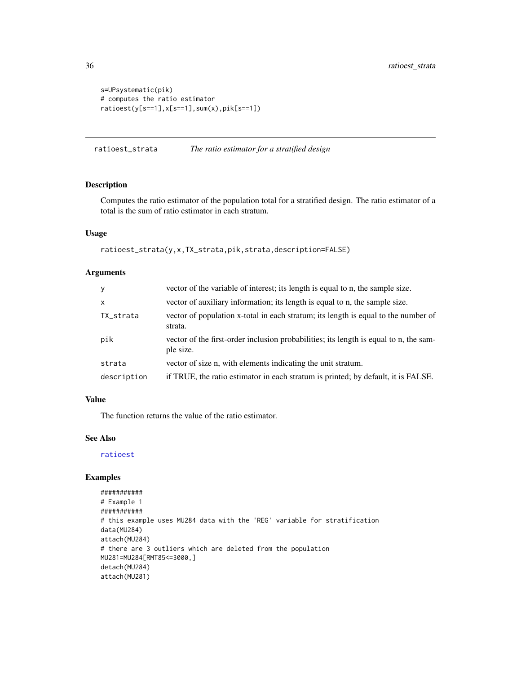```
s=UPsystematic(pik)
# computes the ratio estimator
ratioest(y[s==1],x[s==1],sum(x),pik[s==1])
```
ratioest\_strata *The ratio estimator for a stratified design*

# Description

Computes the ratio estimator of the population total for a stratified design. The ratio estimator of a total is the sum of ratio estimator in each stratum.

# Usage

```
ratioest_strata(y,x,TX_strata,pik,strata,description=FALSE)
```
# Arguments

| y            | vector of the variable of interest; its length is equal to n, the sample size.                     |
|--------------|----------------------------------------------------------------------------------------------------|
| $\mathsf{x}$ | vector of auxiliary information; its length is equal to n, the sample size.                        |
| TX_strata    | vector of population x-total in each stratum; its length is equal to the number of<br>strata.      |
| pik          | vector of the first-order inclusion probabilities; its length is equal to n, the sam-<br>ple size. |
| strata       | vector of size n, with elements indicating the unit stratum.                                       |
| description  | if TRUE, the ratio estimator in each stratum is printed; by default, it is FALSE.                  |

# Value

The function returns the value of the ratio estimator.

# See Also

[ratioest](#page-34-1)

```
###########
# Example 1
###########
# this example uses MU284 data with the 'REG' variable for stratification
data(MU284)
attach(MU284)
# there are 3 outliers which are deleted from the population
MU281=MU284[RMT85<=3000,]
detach(MU284)
attach(MU281)
```
<span id="page-35-0"></span>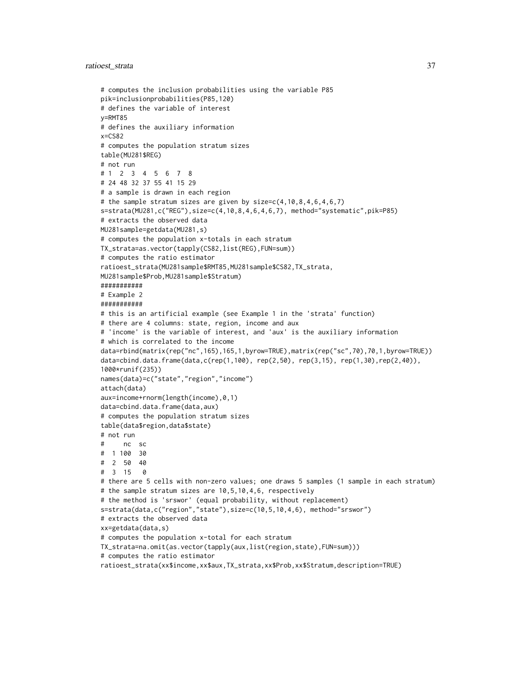```
# computes the inclusion probabilities using the variable P85
pik=inclusionprobabilities(P85,120)
# defines the variable of interest
y=RMT85
# defines the auxiliary information
x=CS82
# computes the population stratum sizes
table(MU281$REG)
# not run
# 1 2 3 4 5 6 7 8
# 24 48 32 37 55 41 15 29
# a sample is drawn in each region
# the sample stratum sizes are given by size=c(4,10,8,4,6,4,6,7)
s=strata(MU281,c("REG"),size=c(4,10,8,4,6,4,6,7), method="systematic",pik=P85)
# extracts the observed data
MU281sample=getdata(MU281,s)
# computes the population x-totals in each stratum
TX_strata=as.vector(tapply(CS82,list(REG),FUN=sum))
# computes the ratio estimator
ratioest_strata(MU281sample$RMT85,MU281sample$CS82,TX_strata,
MU281sample$Prob,MU281sample$Stratum)
###########
# Example 2
###########
# this is an artificial example (see Example 1 in the 'strata' function)
# there are 4 columns: state, region, income and aux
# 'income' is the variable of interest, and 'aux' is the auxiliary information
# which is correlated to the income
data=rbind(matrix(rep("nc",165),165,1,byrow=TRUE),matrix(rep("sc",70),70,1,byrow=TRUE))
data=cbind.data.frame(data,c(rep(1,100), rep(2,50), rep(3,15), rep(1,30),rep(2,40)),
1000*runif(235))
names(data)=c("state","region","income")
attach(data)
aux=income+rnorm(length(income),0,1)
data=cbind.data.frame(data,aux)
# computes the population stratum sizes
table(data$region,data$state)
# not run
# nc sc
# 1 100 30
# 2 50 40
# 3 15 0
# there are 5 cells with non-zero values; one draws 5 samples (1 sample in each stratum)
# the sample stratum sizes are 10,5,10,4,6, respectively
# the method is 'srswor' (equal probability, without replacement)
s=strata(data,c("region","state"),size=c(10,5,10,4,6), method="srswor")
# extracts the observed data
xx=getdata(data,s)
# computes the population x-total for each stratum
TX_strata=na.omit(as.vector(tapply(aux,list(region,state),FUN=sum)))
# computes the ratio estimator
ratioest_strata(xx$income,xx$aux,TX_strata,xx$Prob,xx$Stratum,description=TRUE)
```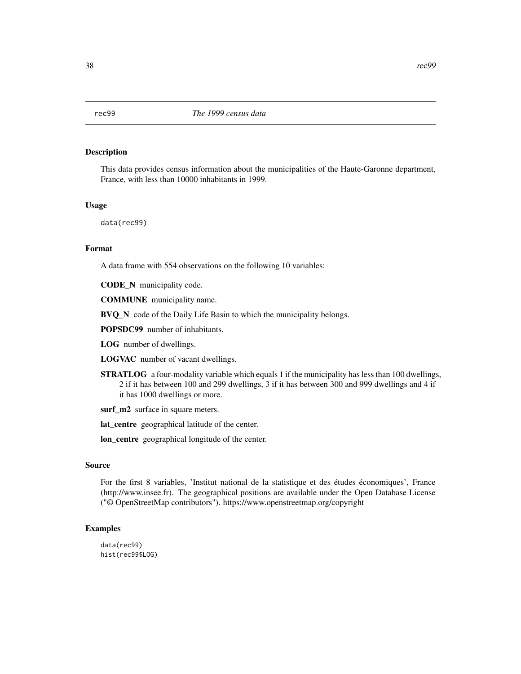This data provides census information about the municipalities of the Haute-Garonne department, France, with less than 10000 inhabitants in 1999.

# Usage

data(rec99)

# Format

A data frame with 554 observations on the following 10 variables:

CODE\_N municipality code.

COMMUNE municipality name.

BVQ\_N code of the Daily Life Basin to which the municipality belongs.

POPSDC99 number of inhabitants.

LOG number of dwellings.

LOGVAC number of vacant dwellings.

STRATLOG a four-modality variable which equals 1 if the municipality has less than 100 dwellings, 2 if it has between 100 and 299 dwellings, 3 if it has between 300 and 999 dwellings and 4 if it has 1000 dwellings or more.

surf\_m2 surface in square meters.

lat\_centre geographical latitude of the center.

lon\_centre geographical longitude of the center.

#### Source

For the first 8 variables, 'Institut national de la statistique et des études économiques', France (http://www.insee.fr). The geographical positions are available under the Open Database License ("© OpenStreetMap contributors"). https://www.openstreetmap.org/copyright

# Examples

data(rec99) hist(rec99\$LOG)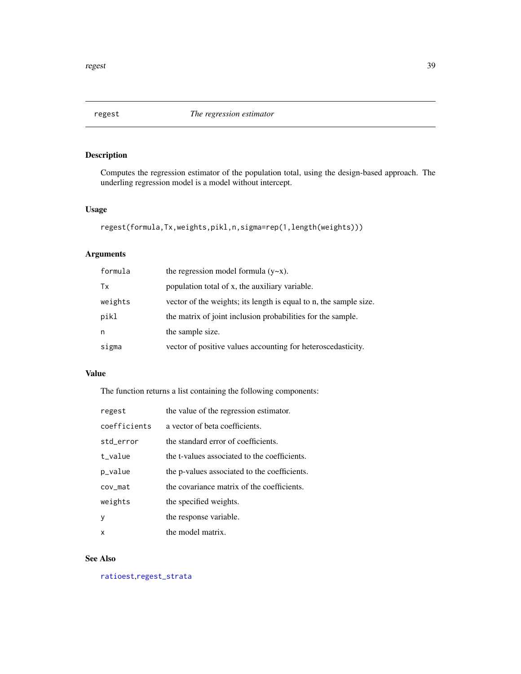<span id="page-38-0"></span>

Computes the regression estimator of the population total, using the design-based approach. The underling regression model is a model without intercept.

# Usage

```
regest(formula,Tx,weights,pikl,n,sigma=rep(1,length(weights)))
```
# Arguments

| formula | the regression model formula $(y \sim x)$ .                       |
|---------|-------------------------------------------------------------------|
| Tx      | population total of x, the auxiliary variable.                    |
| weights | vector of the weights; its length is equal to n, the sample size. |
| pikl    | the matrix of joint inclusion probabilities for the sample.       |
| n       | the sample size.                                                  |
| sigma   | vector of positive values accounting for heteroscedasticity.      |

## Value

The function returns a list containing the following components:

| regest       | the value of the regression estimator.       |
|--------------|----------------------------------------------|
| coefficients | a vector of beta coefficients.               |
| std_error    | the standard error of coefficients.          |
| t value      | the t-values associated to the coefficients. |
| p_value      | the p-values associated to the coefficients. |
| cov mat      | the covariance matrix of the coefficients.   |
| weights      | the specified weights.                       |
| y            | the response variable.                       |
| X            | the model matrix.                            |

## See Also

[ratioest](#page-34-0),[regest\\_strata](#page-39-0)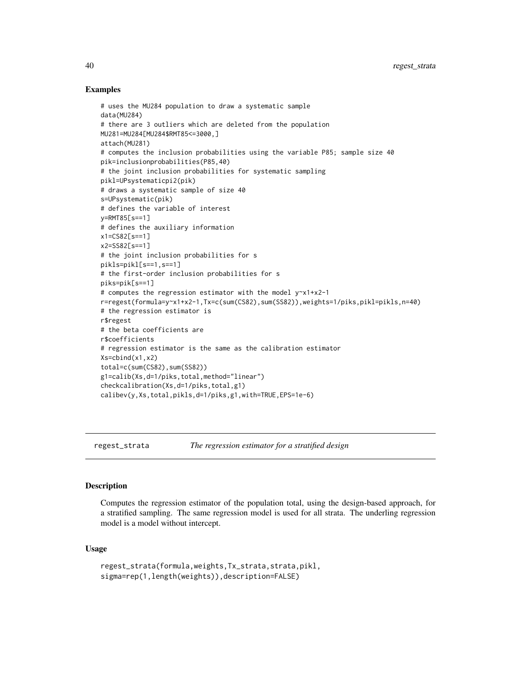## Examples

```
# uses the MU284 population to draw a systematic sample
data(MU284)
# there are 3 outliers which are deleted from the population
MU281=MU284[MU284$RMT85<=3000,]
attach(MU281)
# computes the inclusion probabilities using the variable P85; sample size 40
pik=inclusionprobabilities(P85,40)
# the joint inclusion probabilities for systematic sampling
pikl=UPsystematicpi2(pik)
# draws a systematic sample of size 40
s=UPsystematic(pik)
# defines the variable of interest
y=RMT85[s==1]
# defines the auxiliary information
x1=CS82[s==1]
x2=SS82[s==1]
# the joint inclusion probabilities for s
pikls=pikl[s==1,s==1]
# the first-order inclusion probabilities for s
piks=pik[s==1]
# computes the regression estimator with the model y~x1+x2-1
r=regest(formula=y~x1+x2-1,Tx=c(sum(CS82),sum(SS82)),weights=1/piks,pikl=pikls,n=40)
# the regression estimator is
r$regest
# the beta coefficients are
r$coefficients
# regression estimator is the same as the calibration estimator
Xs=cbind(x1,x2)
total=c(sum(CS82),sum(SS82))
g1=calib(Xs,d=1/piks,total,method="linear")
checkcalibration(Xs,d=1/piks,total,g1)
calibev(y,Xs,total,pikls,d=1/piks,g1,with=TRUE,EPS=1e-6)
```
<span id="page-39-0"></span>regest\_strata *The regression estimator for a stratified design*

#### Description

Computes the regression estimator of the population total, using the design-based approach, for a stratified sampling. The same regression model is used for all strata. The underling regression model is a model without intercept.

#### Usage

```
regest_strata(formula,weights,Tx_strata,strata,pikl,
sigma=rep(1,length(weights)),description=FALSE)
```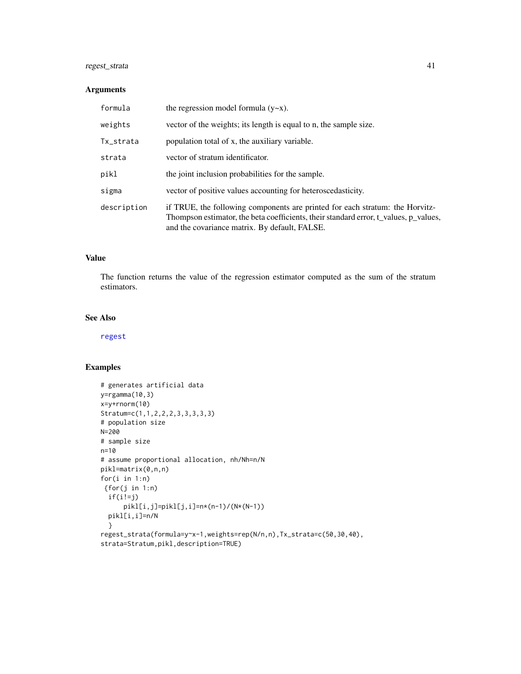# regest\_strata 41

# Arguments

| formula     | the regression model formula $(y \sim x)$ .                                                                                                                                                                           |
|-------------|-----------------------------------------------------------------------------------------------------------------------------------------------------------------------------------------------------------------------|
| weights     | vector of the weights; its length is equal to n, the sample size.                                                                                                                                                     |
| Tx_strata   | population total of x, the auxiliary variable.                                                                                                                                                                        |
| strata      | vector of stratum identificator.                                                                                                                                                                                      |
| pikl        | the joint inclusion probabilities for the sample.                                                                                                                                                                     |
| sigma       | vector of positive values accounting for heteroscedasticity.                                                                                                                                                          |
| description | if TRUE, the following components are printed for each stratum: the Horvitz-<br>Thompson estimator, the beta coefficients, their standard error, t_values, p_values,<br>and the covariance matrix. By default, FALSE. |

# Value

The function returns the value of the regression estimator computed as the sum of the stratum estimators.

## See Also

[regest](#page-38-0)

```
# generates artificial data
y=rgamma(10,3)
x=y+rnorm(10)
Stratum=c(1,1,2,2,2,3,3,3,3,3)
# population size
N=200
# sample size
n=10
# assume proportional allocation, nh/Nh=n/N
pikl=matrix(0,n,n)
for(i in 1:n)
{for(j in 1:n)
 if(i!=j)
      pikl[i,j]=pikl[j,i]=n*(n-1)/(N*(N-1))
  pikl[i,i]=n/N
  }
regest_strata(formula=y~x-1,weights=rep(N/n,n),Tx_strata=c(50,30,40),
strata=Stratum,pikl,description=TRUE)
```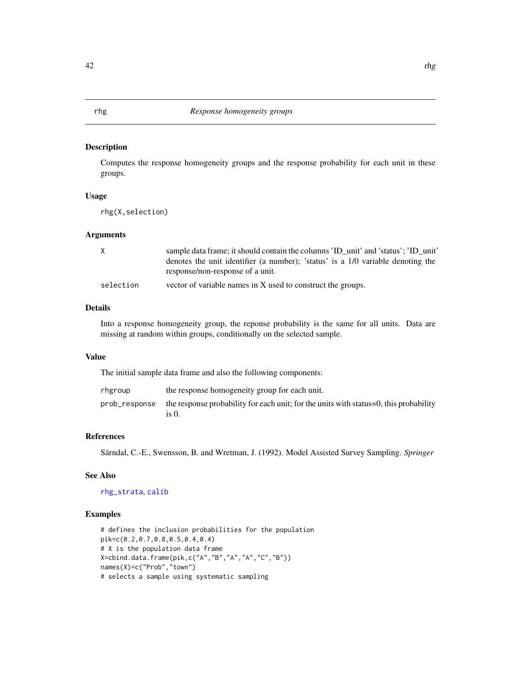<span id="page-41-0"></span>Computes the response homogeneity groups and the response probability for each unit in these groups.

# Usage

rhg(X,selection)

# Arguments

| X         | sample data frame; it should contain the columns 'ID unit' and 'status'; 'ID unit' |
|-----------|------------------------------------------------------------------------------------|
|           | denotes the unit identifier (a number); 'status' is a 1/0 variable denoting the    |
|           | response/non-response of a unit.                                                   |
| selection | vector of variable names in X used to construct the groups.                        |

# Details

Into a response homogeneity group, the reponse probability is the same for all units. Data are missing at random within groups, conditionally on the selected sample.

## Value

The initial sample data frame and also the following components:

| rhgroup | the response homogeneity group for each unit.                                                                |
|---------|--------------------------------------------------------------------------------------------------------------|
|         | prob_response the response probability for each unit; for the units with status=0, this probability<br>is 0. |

## References

Särndal, C.-E., Swensson, B. and Wretman, J. (1992). Model Assisted Survey Sampling. *Springer*

## See Also

## [rhg\\_strata](#page-42-0), [calib](#page-7-0)

```
# defines the inclusion probabilities for the population
pik=c(0.2,0.7,0.8,0.5,0.4,0.4)
# X is the population data frame
X=cbind.data.frame(pik,c("A","B","A","A","C","B"))
names(X)=c("Prob","town")
# selects a sample using systematic sampling
```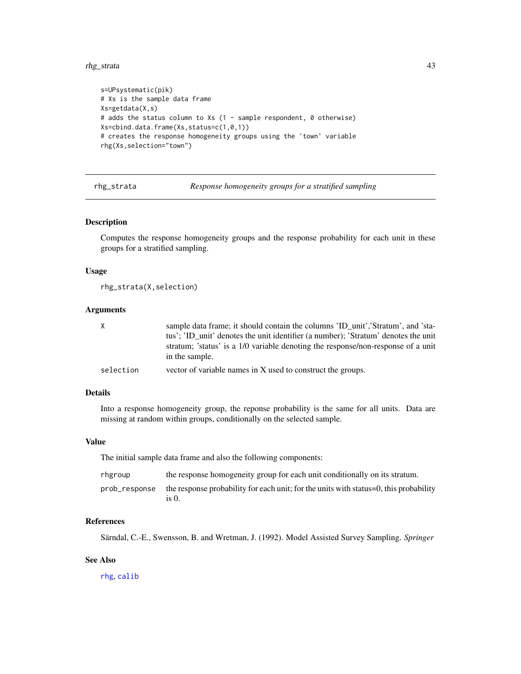rhg\_strata 43

```
s=UPsystematic(pik)
# Xs is the sample data frame
Xs=getdata(X,s)
# adds the status column to Xs (1 - sample respondent, 0 otherwise)
Xs=cbind.data.frame(Xs,status=c(1,0,1))
# creates the response homogeneity groups using the 'town' variable
rhg(Xs,selection="town")
```
<span id="page-42-0"></span>rhg\_strata *Response homogeneity groups for a stratified sampling*

#### Description

Computes the response homogeneity groups and the response probability for each unit in these groups for a stratified sampling.

#### Usage

rhg\_strata(X,selection)

#### Arguments

| X         | sample data frame; it should contain the columns 'ID unit', 'Stratum', and 'sta-                   |
|-----------|----------------------------------------------------------------------------------------------------|
|           | tus'; 'ID unit' denotes the unit identifier (a number); 'Stratum' denotes the unit                 |
|           | stratum; 'status' is a 1/0 variable denoting the response/non-response of a unit<br>in the sample. |
| selection | vector of variable names in X used to construct the groups.                                        |

# Details

Into a response homogeneity group, the reponse probability is the same for all units. Data are missing at random within groups, conditionally on the selected sample.

## Value

The initial sample data frame and also the following components:

| rhgroup       | the response homogeneity group for each unit conditionally on its stratum.                         |
|---------------|----------------------------------------------------------------------------------------------------|
| prob_response | the response probability for each unit; for the units with status= $0$ , this probability<br>is 0. |

## References

Särndal, C.-E., Swensson, B. and Wretman, J. (1992). Model Assisted Survey Sampling. *Springer*

# See Also

[rhg](#page-41-0), [calib](#page-7-0)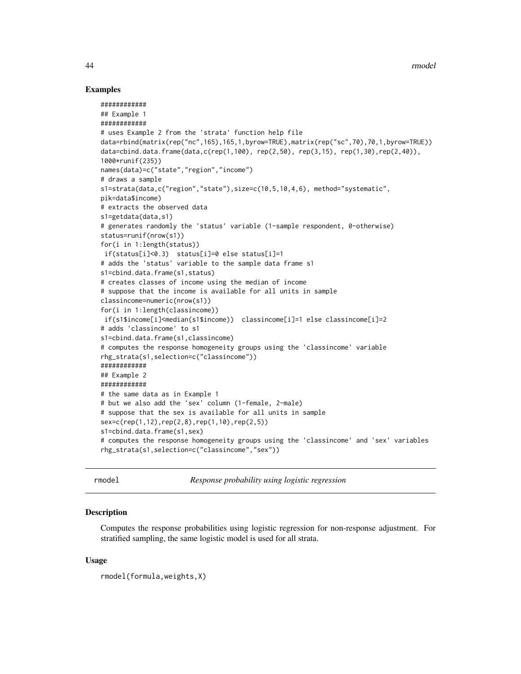## Examples

```
############
## Example 1
############
# uses Example 2 from the 'strata' function help file
data=rbind(matrix(rep("nc",165),165,1,byrow=TRUE),matrix(rep("sc",70),70,1,byrow=TRUE))
data=cbind.data.frame(data,c(rep(1,100), rep(2,50), rep(3,15), rep(1,30),rep(2,40)),
1000*runif(235))
names(data)=c("state","region","income")
# draws a sample
s1=strata(data,c("region","state"),size=c(10,5,10,4,6), method="systematic",
pik=data$income)
# extracts the observed data
s1=getdata(data,s1)
# generates randomly the 'status' variable (1-sample respondent, 0-otherwise)
status=runif(nrow(s1))
for(i in 1:length(status))
if(status[i]<0.3) status[i]=0 else status[i]=1
# adds the 'status' variable to the sample data frame s1
s1=cbind.data.frame(s1,status)
# creates classes of income using the median of income
# suppose that the income is available for all units in sample
classincome=numeric(nrow(s1))
for(i in 1:length(classincome))
if(s1$income[i]<median(s1$income)) classincome[i]=1 else classincome[i]=2
# adds 'classincome' to s1
s1=cbind.data.frame(s1,classincome)
# computes the response homogeneity groups using the 'classincome' variable
rhg_strata(s1,selection=c("classincome"))
############
## Example 2
############
# the same data as in Example 1
# but we also add the 'sex' column (1-female, 2-male)
# suppose that the sex is available for all units in sample
sex=c(rep(1,12),rep(2,8),rep(1,10),rep(2,5))
s1=cbind.data.frame(s1,sex)
# computes the response homogeneity groups using the 'classincome' and 'sex' variables
rhg_strata(s1,selection=c("classincome","sex"))
```
rmodel *Response probability using logistic regression*

## **Description**

Computes the response probabilities using logistic regression for non-response adjustment. For stratified sampling, the same logistic model is used for all strata.

## Usage

rmodel(formula,weights,X)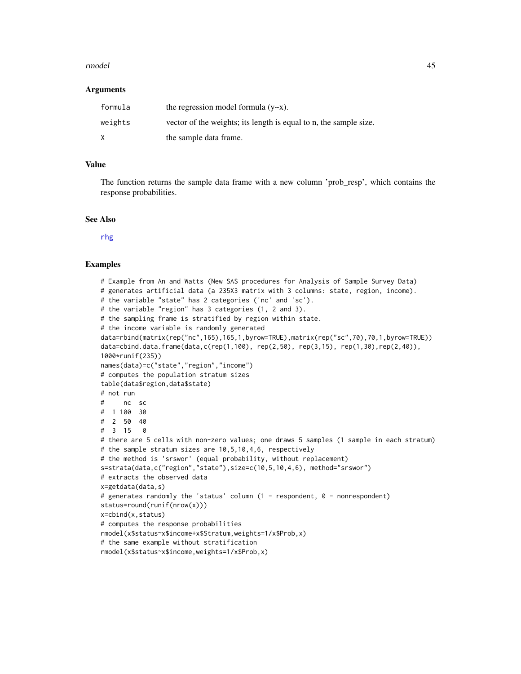#### rmodel and the set of the set of the set of the set of the set of the set of the set of the set of the set of the set of the set of the set of the set of the set of the set of the set of the set of the set of the set of th

#### **Arguments**

| formula | the regression model formula $(y-x)$ .                            |
|---------|-------------------------------------------------------------------|
| weights | vector of the weights; its length is equal to n, the sample size. |
| X       | the sample data frame.                                            |

# Value

The function returns the sample data frame with a new column 'prob\_resp', which contains the response probabilities.

# See Also

[rhg](#page-41-0)

```
# Example from An and Watts (New SAS procedures for Analysis of Sample Survey Data)
# generates artificial data (a 235X3 matrix with 3 columns: state, region, income).
# the variable "state" has 2 categories ('nc' and 'sc').
# the variable "region" has 3 categories (1, 2 and 3).
# the sampling frame is stratified by region within state.
# the income variable is randomly generated
data=rbind(matrix(rep("nc",165),165,1,byrow=TRUE),matrix(rep("sc",70),70,1,byrow=TRUE))
data=cbind.data.frame(data,c(rep(1,100), rep(2,50), rep(3,15), rep(1,30),rep(2,40)),
1000*runif(235))
names(data)=c("state","region","income")
# computes the population stratum sizes
table(data$region,data$state)
# not run
# nc sc
# 1 100 30
# 2 50 40
# 3 15 0
# there are 5 cells with non-zero values; one draws 5 samples (1 sample in each stratum)
# the sample stratum sizes are 10,5,10,4,6, respectively
# the method is 'srswor' (equal probability, without replacement)
s=strata(data,c("region","state"),size=c(10,5,10,4,6), method="srswor")
# extracts the observed data
x=getdata(data,s)
# generates randomly the 'status' column (1 - respondent, 0 - nonrespondent)
status=round(runif(nrow(x)))
x=cbind(x,status)
# computes the response probabilities
rmodel(x$status~x$income+x$Stratum,weights=1/x$Prob,x)
# the same example without stratification
rmodel(x$status~x$income,weights=1/x$Prob,x)
```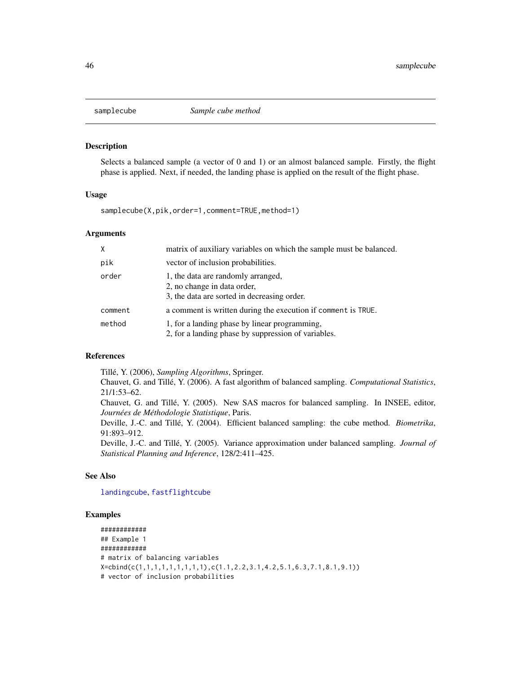Selects a balanced sample (a vector of 0 and 1) or an almost balanced sample. Firstly, the flight phase is applied. Next, if needed, the landing phase is applied on the result of the flight phase.

#### Usage

samplecube(X,pik,order=1,comment=TRUE,method=1)

## Arguments

|         | matrix of auxiliary variables on which the sample must be balanced.                                              |
|---------|------------------------------------------------------------------------------------------------------------------|
| pik     | vector of inclusion probabilities.                                                                               |
| order   | 1, the data are randomly arranged,<br>2, no change in data order,<br>3, the data are sorted in decreasing order. |
| comment | a comment is written during the execution if comment is TRUE.                                                    |
| method  | 1, for a landing phase by linear programming,<br>2, for a landing phase by suppression of variables.             |

# References

Tillé, Y. (2006), *Sampling Algorithms*, Springer.

Chauvet, G. and Tillé, Y. (2006). A fast algorithm of balanced sampling. *Computational Statistics*, 21/1:53–62.

Chauvet, G. and Tillé, Y. (2005). New SAS macros for balanced sampling. In INSEE, editor, *Journées de Méthodologie Statistique*, Paris.

Deville, J.-C. and Tillé, Y. (2004). Efficient balanced sampling: the cube method. *Biometrika*, 91:893–912.

Deville, J.-C. and Tillé, Y. (2005). Variance approximation under balanced sampling. *Journal of Statistical Planning and Inference*, 128/2:411–425.

# See Also

[landingcube](#page-25-0), [fastflightcube](#page-15-0)

```
############
## Example 1
############
# matrix of balancing variables
X=cbind(c(1,1,1,1,1,1,1,1,1),c(1.1,2.2,3.1,4.2,5.1,6.3,7.1,8.1,9.1))
# vector of inclusion probabilities
```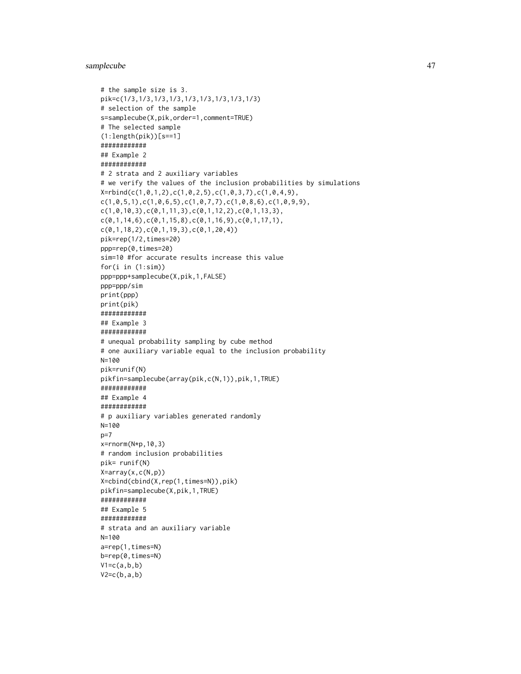## samplecube 47

```
# the sample size is 3.
pik=c(1/3,1/3,1/3,1/3,1/3,1/3,1/3,1/3,1/3)
# selection of the sample
s=samplecube(X,pik,order=1,comment=TRUE)
# The selected sample
(1:length(pik))[s==1]
############
## Example 2
############
# 2 strata and 2 auxiliary variables
# we verify the values of the inclusion probabilities by simulations
X=rbind(c(1,0,1,2),c(1,0,2,5),c(1,0,3,7),c(1,0,4,9),
c(1,0,5,1),c(1,0,6,5),c(1,0,7,7),c(1,0,8,6),c(1,0,9,9),c(1, 0, 10, 3), c(0, 1, 11, 3), c(0, 1, 12, 2), c(0, 1, 13, 3),c(0,1,14,6),c(0,1,15,8),c(0,1,16,9),c(0,1,17,1),c(\emptyset,1,18,2),c(\emptyset,1,19,3),c(\emptyset,1,2\emptyset,4))
pik=rep(1/2,times=20)
ppp=rep(0,times=20)
sim=10 #for accurate results increase this value
for(i in (1:sim))
ppp=ppp+samplecube(X,pik,1,FALSE)
ppp=ppp/sim
print(ppp)
print(pik)
############
## Example 3
############
# unequal probability sampling by cube method
# one auxiliary variable equal to the inclusion probability
N=100
pik=runif(N)
pikfin=samplecube(array(pik,c(N,1)),pik,1,TRUE)
############
## Example 4
############
# p auxiliary variables generated randomly
N=100
p=7
x=rnorm(N*p,10,3)
# random inclusion probabilities
pik= runif(N)
X=array(x,c(N,p))
X=cbind(cbind(X,rep(1,times=N)),pik)
pikfin=samplecube(X,pik,1,TRUE)
############
## Example 5
############
# strata and an auxiliary variable
N=100
a=rep(1,times=N)
b=rep(0,times=N)
V1=c(a,b,b)V2=c(b,a,b)
```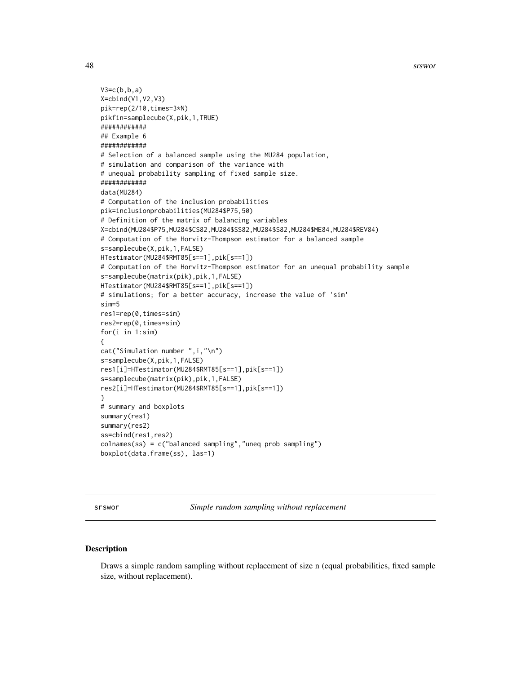48 srswords and the state of the state of the state of the state of the state of the state of the state of the state of the state of the state of the state of the state of the state of the state of the state of the state o

```
V3=c(b,b,a)X=cbind(V1,V2,V3)
pik=rep(2/10,times=3*N)
pikfin=samplecube(X,pik,1,TRUE)
############
## Example 6
############
# Selection of a balanced sample using the MU284 population,
# simulation and comparison of the variance with
# unequal probability sampling of fixed sample size.
############
data(MU284)
# Computation of the inclusion probabilities
pik=inclusionprobabilities(MU284$P75,50)
# Definition of the matrix of balancing variables
X=cbind(MU284$P75,MU284$CS82,MU284$SS82,MU284$S82,MU284$ME84,MU284$REV84)
# Computation of the Horvitz-Thompson estimator for a balanced sample
s=samplecube(X,pik,1,FALSE)
HTestimator(MU284$RMT85[s==1],pik[s==1])
# Computation of the Horvitz-Thompson estimator for an unequal probability sample
s=samplecube(matrix(pik),pik,1,FALSE)
HTestimator(MU284$RMT85[s==1],pik[s==1])
# simulations; for a better accuracy, increase the value of 'sim'
sim=5
res1=rep(0,times=sim)
res2=rep(0,times=sim)
for(i in 1:sim)
{
cat("Simulation number ",i,"\n")
s=samplecube(X,pik,1,FALSE)
res1[i]=HTestimator(MU284$RMT85[s==1],pik[s==1])
s=samplecube(matrix(pik),pik,1,FALSE)
res2[i]=HTestimator(MU284$RMT85[s==1],pik[s==1])
}
# summary and boxplots
summary(res1)
summary(res2)
ss=cbind(res1,res2)
colnames(ss) = c("balanced sampling","uneq prob sampling")
boxplot(data.frame(ss), las=1)
```
<span id="page-47-0"></span>srswor *Simple random sampling without replacement*

#### **Description**

Draws a simple random sampling without replacement of size n (equal probabilities, fixed sample size, without replacement).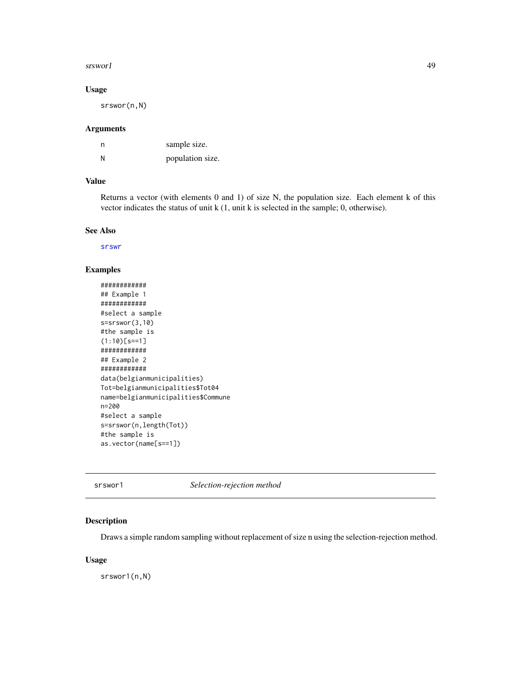#### srswor1 49

# Usage

srswor(n,N)

## Arguments

| n | sample size.     |
|---|------------------|
| N | population size. |

# Value

Returns a vector (with elements 0 and 1) of size N, the population size. Each element k of this vector indicates the status of unit k (1, unit k is selected in the sample; 0, otherwise).

### See Also

[srswr](#page-49-0)

## Examples

```
############
## Example 1
############
#select a sample
s=srswor(3,10)
#the sample is
(1:10)[s==1]
############
## Example 2
############
data(belgianmunicipalities)
Tot=belgianmunicipalities$Tot04
name=belgianmunicipalities$Commune
n=200
#select a sample
s=srswor(n,length(Tot))
#the sample is
as.vector(name[s==1])
```
srswor1 *Selection-rejection method*

## Description

Draws a simple random sampling without replacement of size n using the selection-rejection method.

#### Usage

srswor1(n,N)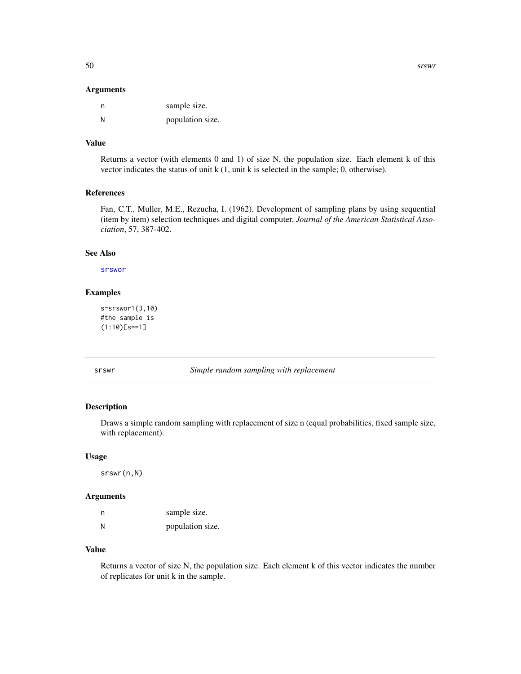#### Arguments

| n | sample size.     |
|---|------------------|
| N | population size. |

# Value

Returns a vector (with elements 0 and 1) of size N, the population size. Each element k of this vector indicates the status of unit k (1, unit k is selected in the sample; 0, otherwise).

#### References

Fan, C.T., Muller, M.E., Rezucha, I. (1962), Development of sampling plans by using sequential (item by item) selection techniques and digital computer, *Journal of the American Statistical Association*, 57, 387-402.

#### See Also

[srswor](#page-47-0)

# Examples

```
s=srswor1(3,10)
#the sample is
(1:10)[s==1]
```
<span id="page-49-0"></span>srswr *Simple random sampling with replacement*

# Description

Draws a simple random sampling with replacement of size n (equal probabilities, fixed sample size, with replacement).

#### Usage

srswr(n,N)

# Arguments

| n | sample size.     |
|---|------------------|
| N | population size. |

#### Value

Returns a vector of size N, the population size. Each element k of this vector indicates the number of replicates for unit k in the sample.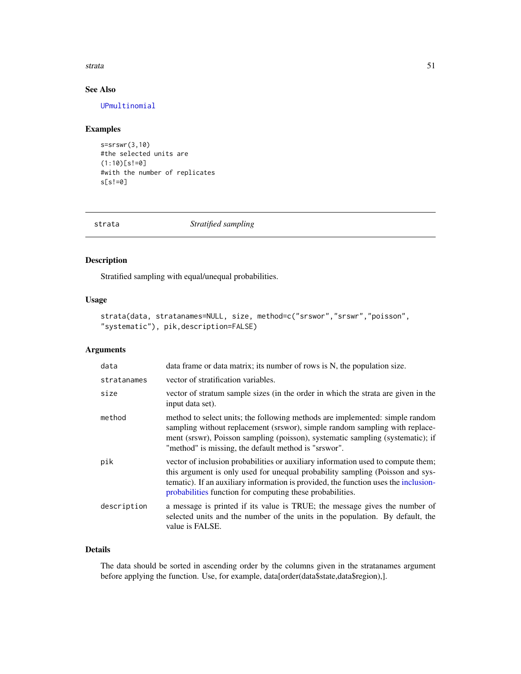#### strata 51

# See Also

[UPmultinomial](#page-59-0)

# Examples

```
s=srswr(3,10)
#the selected units are
(1:10)[s!=0]
#with the number of replicates
s[s!=0]
```
strata *Stratified sampling*

# Description

Stratified sampling with equal/unequal probabilities.

# Usage

```
strata(data, stratanames=NULL, size, method=c("srswor","srswr","poisson",
"systematic"), pik,description=FALSE)
```
# Arguments

| data        | data frame or data matrix; its number of rows is N, the population size.                                                                                                                                                                                                                                              |
|-------------|-----------------------------------------------------------------------------------------------------------------------------------------------------------------------------------------------------------------------------------------------------------------------------------------------------------------------|
| stratanames | vector of stratification variables.                                                                                                                                                                                                                                                                                   |
| size        | vector of stratum sample sizes (in the order in which the strata are given in the<br>input data set).                                                                                                                                                                                                                 |
| method      | method to select units; the following methods are implemented: simple random<br>sampling without replacement (srswor), simple random sampling with replace-<br>ment (srswr), Poisson sampling (poisson), systematic sampling (systematic); if<br>"method" is missing, the default method is "srswor".                 |
| pik         | vector of inclusion probabilities or auxiliary information used to compute them;<br>this argument is only used for unequal probability sampling (Poisson and sys-<br>tematic). If an auxiliary information is provided, the function uses the inclusion-<br>probabilities function for computing these probabilities. |
| description | a message is printed if its value is TRUE; the message gives the number of<br>selected units and the number of the units in the population. By default, the<br>value is FALSE.                                                                                                                                        |

# Details

The data should be sorted in ascending order by the columns given in the stratanames argument before applying the function. Use, for example, data[order(data\$state,data\$region),].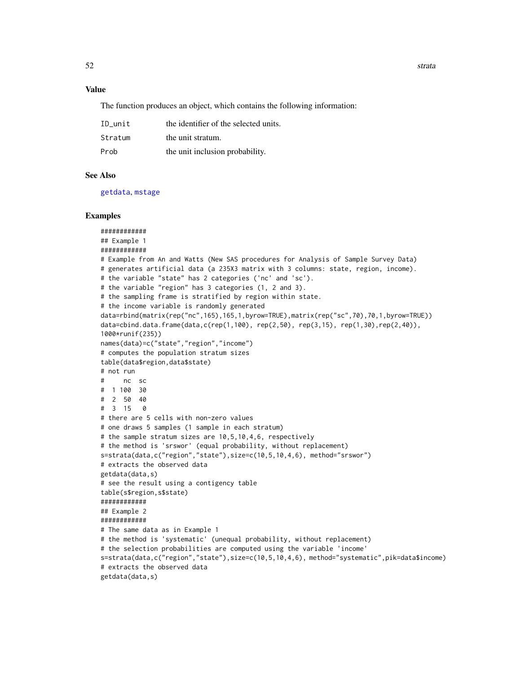#### Value

The function produces an object, which contains the following information:

| ID unit | the identifier of the selected units. |
|---------|---------------------------------------|
| Stratum | the unit stratum.                     |
| Prob    | the unit inclusion probability.       |

#### See Also

[getdata](#page-18-0), [mstage](#page-26-0)

```
############
## Example 1
############
# Example from An and Watts (New SAS procedures for Analysis of Sample Survey Data)
# generates artificial data (a 235X3 matrix with 3 columns: state, region, income).
# the variable "state" has 2 categories ('nc' and 'sc').
# the variable "region" has 3 categories (1, 2 and 3).
# the sampling frame is stratified by region within state.
# the income variable is randomly generated
data=rbind(matrix(rep("nc",165),165,1,byrow=TRUE),matrix(rep("sc",70),70,1,byrow=TRUE))
data=cbind.data.frame(data,c(rep(1,100), rep(2,50), rep(3,15), rep(1,30),rep(2,40)),
1000*runif(235))
names(data)=c("state","region","income")
# computes the population stratum sizes
table(data$region,data$state)
# not run
# nc sc
# 1 100 30
# 2 50 40
# 3 15 0
# there are 5 cells with non-zero values
# one draws 5 samples (1 sample in each stratum)
# the sample stratum sizes are 10,5,10,4,6, respectively
# the method is 'srswor' (equal probability, without replacement)
s=strata(data,c("region","state"),size=c(10,5,10,4,6), method="srswor")
# extracts the observed data
getdata(data,s)
# see the result using a contigency table
table(s$region,s$state)
############
## Example 2
############
# The same data as in Example 1
# the method is 'systematic' (unequal probability, without replacement)
# the selection probabilities are computed using the variable 'income'
s=strata(data,c("region","state"),size=c(10,5,10,4,6), method="systematic",pik=data$income)
# extracts the observed data
getdata(data,s)
```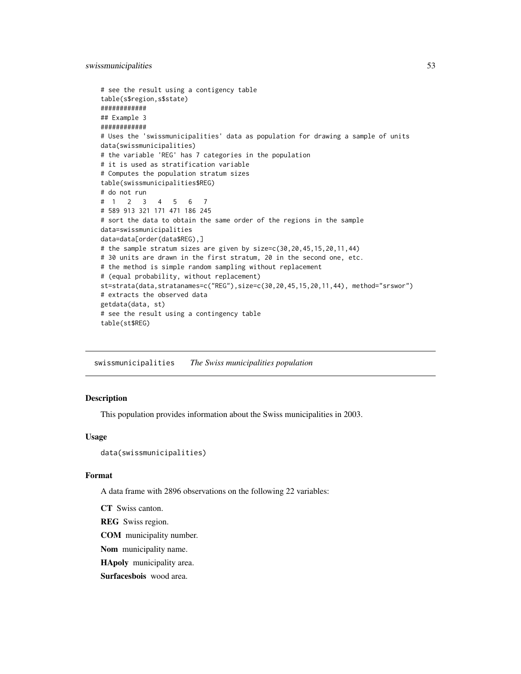swissmunicipalities 53

```
# see the result using a contigency table
table(s$region,s$state)
############
## Example 3
############
# Uses the 'swissmunicipalities' data as population for drawing a sample of units
data(swissmunicipalities)
# the variable 'REG' has 7 categories in the population
# it is used as stratification variable
# Computes the population stratum sizes
table(swissmunicipalities$REG)
# do not run
# 1 2 3 4 5 6 7
# 589 913 321 171 471 186 245
# sort the data to obtain the same order of the regions in the sample
data=swissmunicipalities
data=data[order(data$REG),]
# the sample stratum sizes are given by size=c(30,20,45,15,20,11,44)
# 30 units are drawn in the first stratum, 20 in the second one, etc.
# the method is simple random sampling without replacement
# (equal probability, without replacement)
st=strata(data,stratanames=c("REG"),size=c(30,20,45,15,20,11,44), method="srswor")
# extracts the observed data
getdata(data, st)
# see the result using a contingency table
table(st$REG)
```
swissmunicipalities *The Swiss municipalities population*

# Description

This population provides information about the Swiss municipalities in 2003.

#### Usage

```
data(swissmunicipalities)
```
## Format

A data frame with 2896 observations on the following 22 variables:

CT Swiss canton.

REG Swiss region.

COM municipality number.

Nom municipality name.

HApoly municipality area.

Surfacesbois wood area.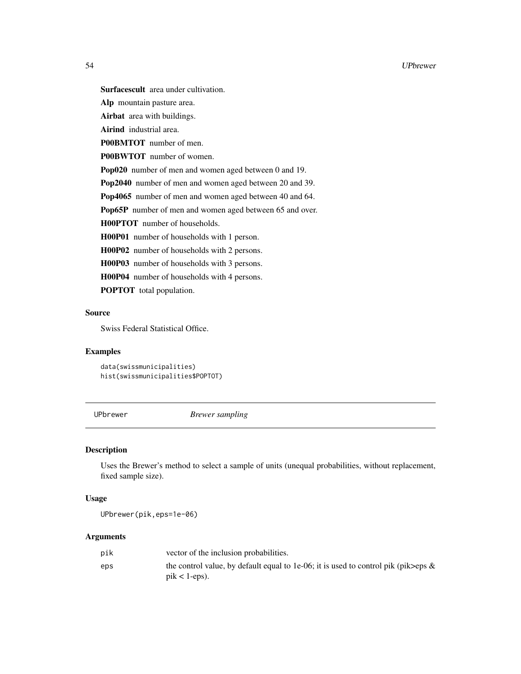Surfacescult area under cultivation.

Alp mountain pasture area.

Airbat area with buildings.

Airind industrial area.

P00BMTOT number of men.

P00BWTOT number of women.

Pop020 number of men and women aged between 0 and 19.

Pop2040 number of men and women aged between 20 and 39.

Pop4065 number of men and women aged between 40 and 64.

Pop65P number of men and women aged between 65 and over.

H00PTOT number of households.

H00P01 number of households with 1 person.

H00P02 number of households with 2 persons.

H00P03 number of households with 3 persons.

H00P04 number of households with 4 persons.

POPTOT total population.

# Source

Swiss Federal Statistical Office.

## Examples

data(swissmunicipalities) hist(swissmunicipalities\$POPTOT)

UPbrewer *Brewer sampling*

# Description

Uses the Brewer's method to select a sample of units (unequal probabilities, without replacement, fixed sample size).

#### Usage

UPbrewer(pik,eps=1e-06)

#### **Arguments**

| pik | vector of the inclusion probabilities.                                                                          |
|-----|-----------------------------------------------------------------------------------------------------------------|
| eps | the control value, by default equal to 1e-06; it is used to control pik (pik>eps $\&$<br>$\text{pik}$ < 1-eps). |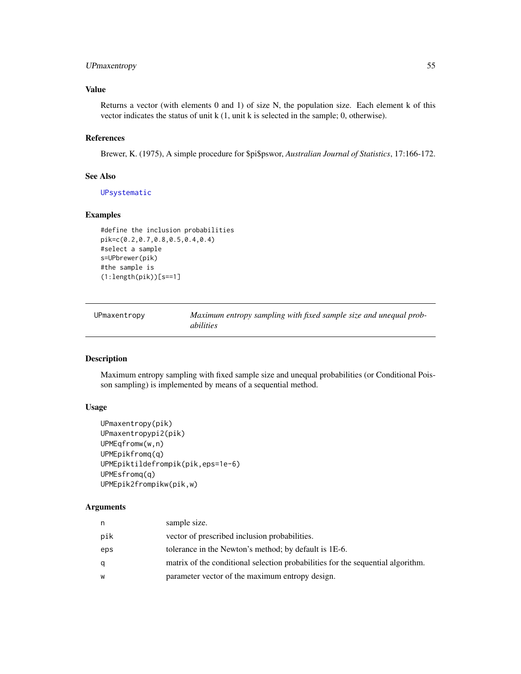# UPmaxentropy 55

## Value

Returns a vector (with elements 0 and 1) of size N, the population size. Each element k of this vector indicates the status of unit k (1, unit k is selected in the sample; 0, otherwise).

# References

Brewer, K. (1975), A simple procedure for \$pi\$pswor, *Australian Journal of Statistics*, 17:166-172.

## See Also

[UPsystematic](#page-67-0)

# Examples

```
#define the inclusion probabilities
pik=c(0.2,0.7,0.8,0.5,0.4,0.4)
#select a sample
s=UPbrewer(pik)
#the sample is
(1:length(pik))[s==1]
```

| UPmaxentropy | Maximum entropy sampling with fixed sample size and unequal prob- |
|--------------|-------------------------------------------------------------------|
|              | <i>abilities</i>                                                  |

## Description

Maximum entropy sampling with fixed sample size and unequal probabilities (or Conditional Poisson sampling) is implemented by means of a sequential method.

# Usage

```
UPmaxentropy(pik)
UPmaxentropypi2(pik)
UPMEqfromw(w,n)
UPMEpikfromq(q)
UPMEpiktildefrompik(pik,eps=1e-6)
UPMEsfromq(q)
UPMEpik2frompikw(pik,w)
```
#### Arguments

| n   | sample size.                                                                    |
|-----|---------------------------------------------------------------------------------|
| pik | vector of prescribed inclusion probabilities.                                   |
| eps | tolerance in the Newton's method; by default is 1E-6.                           |
|     | matrix of the conditional selection probabilities for the sequential algorithm. |
| W   | parameter vector of the maximum entropy design.                                 |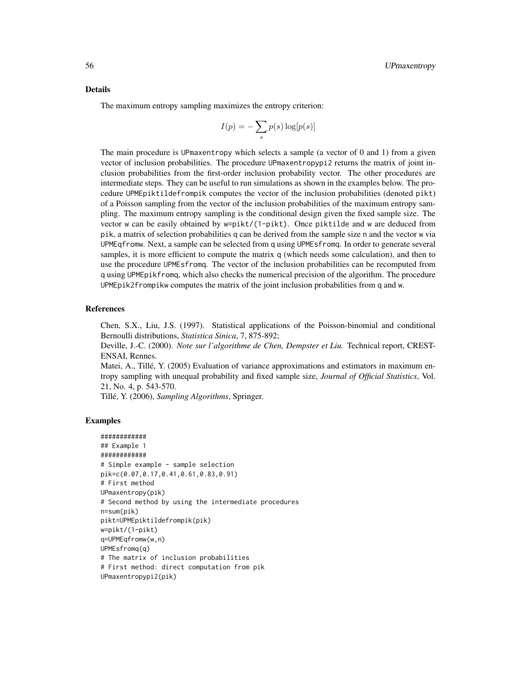#### Details

The maximum entropy sampling maximizes the entropy criterion:

$$
I(p) = -\sum_{s} p(s) \log[p(s)]
$$

The main procedure is UPmaxentropy which selects a sample (a vector of 0 and 1) from a given vector of inclusion probabilities. The procedure UPmaxentropypi2 returns the matrix of joint inclusion probabilities from the first-order inclusion probability vector. The other procedures are intermediate steps. They can be useful to run simulations as shown in the examples below. The procedure UPMEpiktildefrompik computes the vector of the inclusion probabilities (denoted pikt) of a Poisson sampling from the vector of the inclusion probabilities of the maximum entropy sampling. The maximum entropy sampling is the conditional design given the fixed sample size. The vector w can be easily obtained by w=pikt/(1-pikt). Once piktilde and w are deduced from pik, a matrix of selection probabilities q can be derived from the sample size n and the vector w via UPMEqfromw. Next, a sample can be selected from q using UPMEsfromq. In order to generate several samples, it is more efficient to compute the matrix q (which needs some calculation), and then to use the procedure UPMEsfromq. The vector of the inclusion probabilities can be recomputed from q using UPMEpikfromq, which also checks the numerical precision of the algorithm. The procedure UPMEpik2frompikw computes the matrix of the joint inclusion probabilities from q and w.

#### References

Chen, S.X., Liu, J.S. (1997). Statistical applications of the Poisson-binomial and conditional Bernoulli distributions, *Statistica Sinica*, 7, 875-892;

Deville, J.-C. (2000). *Note sur l'algorithme de Chen, Dempster et Liu.* Technical report, CREST-ENSAI, Rennes.

Matei, A., Tillé, Y. (2005) Evaluation of variance approximations and estimators in maximum entropy sampling with unequal probability and fixed sample size, *Journal of Official Statistics*, Vol. 21, No. 4, p. 543-570.

Tillé, Y. (2006), *Sampling Algorithms*, Springer.

```
############
## Example 1
############
# Simple example - sample selection
pik=c(0.07,0.17,0.41,0.61,0.83,0.91)
# First method
UPmaxentropy(pik)
# Second method by using the intermediate procedures
n=sum(pik)
pikt=UPMEpiktildefrompik(pik)
w=pikt/(1-pikt)
q=UPMEqfromw(w,n)
UPMEsfromq(q)
# The matrix of inclusion probabilities
# First method: direct computation from pik
UPmaxentropypi2(pik)
```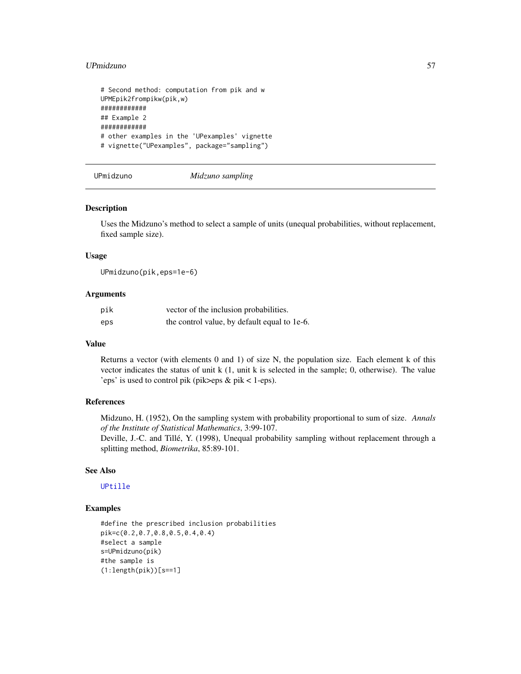#### UPmidzuno 57

```
# Second method: computation from pik and w
UPMEpik2frompikw(pik,w)
############
## Example 2
############
# other examples in the 'UPexamples' vignette
# vignette("UPexamples", package="sampling")
```
UPmidzuno *Midzuno sampling*

#### Description

Uses the Midzuno's method to select a sample of units (unequal probabilities, without replacement, fixed sample size).

#### Usage

UPmidzuno(pik,eps=1e-6)

# Arguments

| pik | vector of the inclusion probabilities.       |
|-----|----------------------------------------------|
| eps | the control value, by default equal to 1e-6. |

#### Value

Returns a vector (with elements 0 and 1) of size N, the population size. Each element k of this vector indicates the status of unit k (1, unit k is selected in the sample; 0, otherwise). The value 'eps' is used to control pik (pik>eps & pik < 1-eps).

# References

Midzuno, H. (1952), On the sampling system with probability proportional to sum of size. *Annals of the Institute of Statistical Mathematics*, 3:99-107.

Deville, J.-C. and Tillé, Y. (1998), Unequal probability sampling without replacement through a splitting method, *Biometrika*, 85:89-101.

# See Also

# [UPtille](#page-69-0)

```
#define the prescribed inclusion probabilities
pik=c(0.2,0.7,0.8,0.5,0.4,0.4)
#select a sample
s=UPmidzuno(pik)
#the sample is
(1:length(pik))[s==1]
```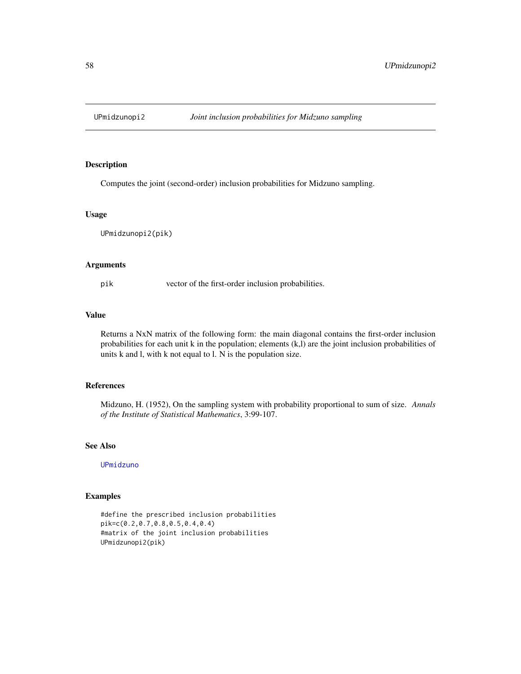Computes the joint (second-order) inclusion probabilities for Midzuno sampling.

#### Usage

UPmidzunopi2(pik)

#### Arguments

pik vector of the first-order inclusion probabilities.

## Value

Returns a NxN matrix of the following form: the main diagonal contains the first-order inclusion probabilities for each unit k in the population; elements (k,l) are the joint inclusion probabilities of units k and l, with k not equal to l. N is the population size.

# References

Midzuno, H. (1952), On the sampling system with probability proportional to sum of size. *Annals of the Institute of Statistical Mathematics*, 3:99-107.

# See Also

[UPmidzuno](#page-56-0)

# Examples

#define the prescribed inclusion probabilities pik=c(0.2,0.7,0.8,0.5,0.4,0.4) #matrix of the joint inclusion probabilities UPmidzunopi2(pik)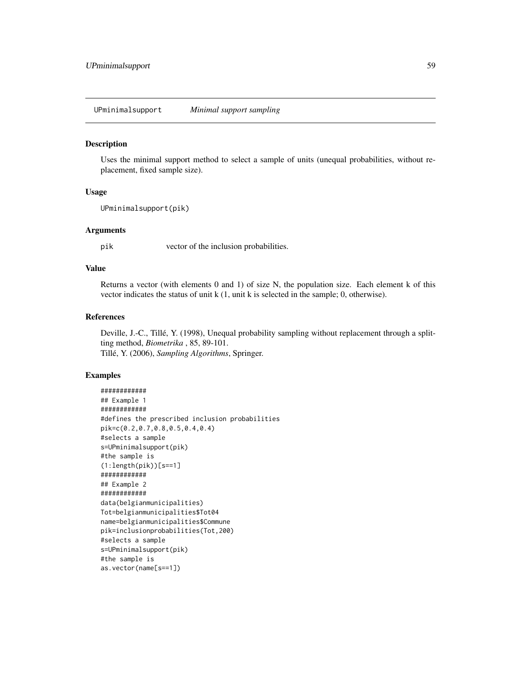UPminimalsupport *Minimal support sampling*

#### Description

Uses the minimal support method to select a sample of units (unequal probabilities, without replacement, fixed sample size).

# Usage

```
UPminimalsupport(pik)
```
### Arguments

pik vector of the inclusion probabilities.

# Value

Returns a vector (with elements 0 and 1) of size N, the population size. Each element k of this vector indicates the status of unit k (1, unit k is selected in the sample; 0, otherwise).

#### References

Deville, J.-C., Tillé, Y. (1998), Unequal probability sampling without replacement through a splitting method, *Biometrika* , 85, 89-101. Tillé, Y. (2006), *Sampling Algorithms*, Springer.

```
############
## Example 1
############
#defines the prescribed inclusion probabilities
pik=c(0.2,0.7,0.8,0.5,0.4,0.4)
#selects a sample
s=UPminimalsupport(pik)
#the sample is
(1:length(pik))[s==1]
############
## Example 2
############
data(belgianmunicipalities)
Tot=belgianmunicipalities$Tot04
name=belgianmunicipalities$Commune
pik=inclusionprobabilities(Tot,200)
#selects a sample
s=UPminimalsupport(pik)
#the sample is
as.vector(name[s==1])
```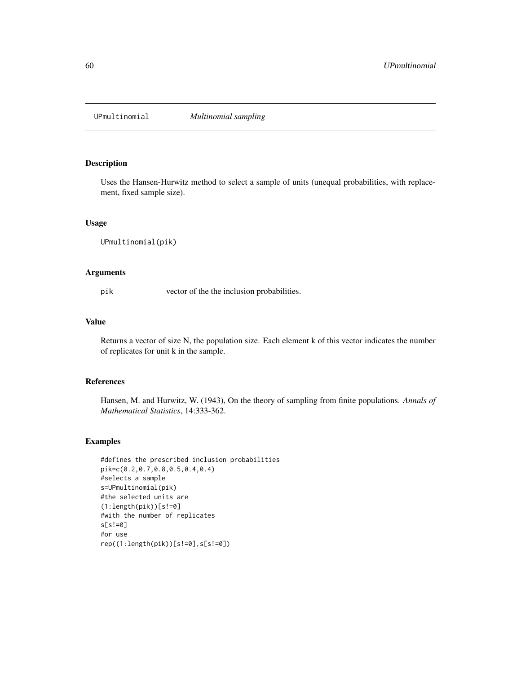<span id="page-59-0"></span>

Uses the Hansen-Hurwitz method to select a sample of units (unequal probabilities, with replacement, fixed sample size).

#### Usage

UPmultinomial(pik)

# Arguments

pik vector of the the inclusion probabilities.

## Value

Returns a vector of size N, the population size. Each element k of this vector indicates the number of replicates for unit k in the sample.

#### References

Hansen, M. and Hurwitz, W. (1943), On the theory of sampling from finite populations. *Annals of Mathematical Statistics*, 14:333-362.

```
#defines the prescribed inclusion probabilities
pik=c(0.2,0.7,0.8,0.5,0.4,0.4)
#selects a sample
s=UPmultinomial(pik)
#the selected units are
(1:length(pik))[s!=0]#with the number of replicates
s[s!=0]
#or use
rep((1:length(pik))[s!=0],s[s!=0])
```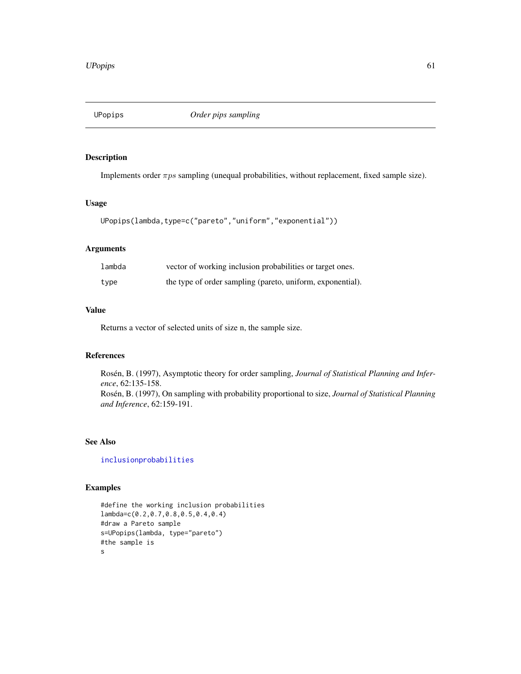Implements order  $\pi ps$  sampling (unequal probabilities, without replacement, fixed sample size).

## Usage

```
UPopips(lambda,type=c("pareto","uniform","exponential"))
```
# Arguments

| lambda | vector of working inclusion probabilities or target ones.  |
|--------|------------------------------------------------------------|
| type   | the type of order sampling (pareto, uniform, exponential). |

# Value

Returns a vector of selected units of size n, the sample size.

# References

Rosén, B. (1997), Asymptotic theory for order sampling, *Journal of Statistical Planning and Inference*, 62:135-158. Rosén, B. (1997), On sampling with probability proportional to size, *Journal of Statistical Planning and Inference*, 62:159-191.

#### See Also

[inclusionprobabilities](#page-23-0)

```
#define the working inclusion probabilities
lambda=c(0.2,0.7,0.8,0.5,0.4,0.4)
#draw a Pareto sample
s=UPopips(lambda, type="pareto")
#the sample is
s
```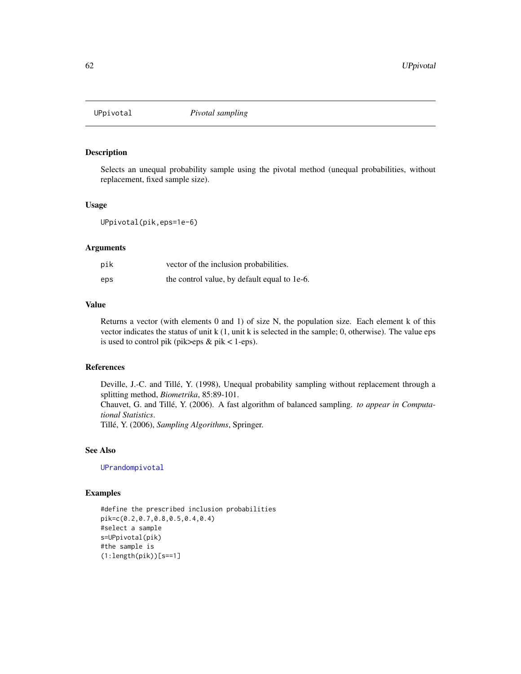<span id="page-61-0"></span>

Selects an unequal probability sample using the pivotal method (unequal probabilities, without replacement, fixed sample size).

# Usage

UPpivotal(pik,eps=1e-6)

# Arguments

| pik | vector of the inclusion probabilities.       |
|-----|----------------------------------------------|
| eps | the control value, by default equal to 1e-6. |

# Value

Returns a vector (with elements 0 and 1) of size N, the population size. Each element k of this vector indicates the status of unit k (1, unit k is selected in the sample; 0, otherwise). The value eps is used to control pik (pik>eps  $&$  pik < 1-eps).

# References

Deville, J.-C. and Tillé, Y. (1998), Unequal probability sampling without replacement through a splitting method, *Biometrika*, 85:89-101.

Chauvet, G. and Tillé, Y. (2006). A fast algorithm of balanced sampling. *to appear in Computational Statistics*.

Tillé, Y. (2006), *Sampling Algorithms*, Springer.

# See Also

[UPrandompivotal](#page-63-0)

```
#define the prescribed inclusion probabilities
pik=c(0.2,0.7,0.8,0.5,0.4,0.4)
#select a sample
s=UPpivotal(pik)
#the sample is
(1:length(pik))[s==1]
```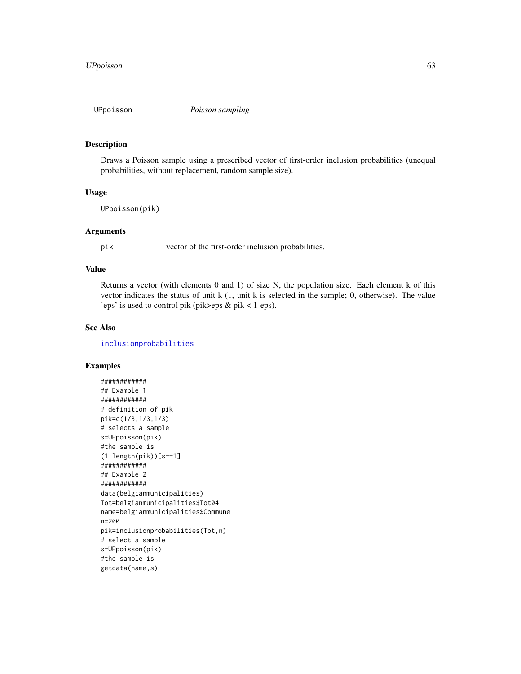Draws a Poisson sample using a prescribed vector of first-order inclusion probabilities (unequal probabilities, without replacement, random sample size).

## Usage

```
UPpoisson(pik)
```
## Arguments

pik vector of the first-order inclusion probabilities.

## Value

Returns a vector (with elements 0 and 1) of size N, the population size. Each element k of this vector indicates the status of unit k (1, unit k is selected in the sample; 0, otherwise). The value 'eps' is used to control pik (pik>eps & pik < 1-eps).

# See Also

[inclusionprobabilities](#page-23-0)

```
############
## Example 1
############
# definition of pik
pik=c(1/3,1/3,1/3)
# selects a sample
s=UPpoisson(pik)
#the sample is
(1:length(pik))[s==1]
############
## Example 2
############
data(belgianmunicipalities)
Tot=belgianmunicipalities$Tot04
name=belgianmunicipalities$Commune
n=200
pik=inclusionprobabilities(Tot,n)
# select a sample
s=UPpoisson(pik)
#the sample is
getdata(name,s)
```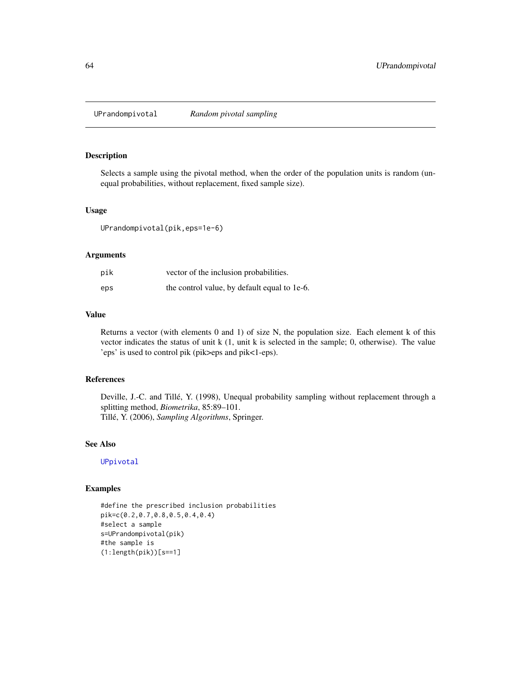<span id="page-63-0"></span>UPrandompivotal *Random pivotal sampling*

## Description

Selects a sample using the pivotal method, when the order of the population units is random (unequal probabilities, without replacement, fixed sample size).

#### Usage

UPrandompivotal(pik,eps=1e-6)

#### Arguments

| pik | vector of the inclusion probabilities.       |
|-----|----------------------------------------------|
| eps | the control value, by default equal to 1e-6. |

# Value

Returns a vector (with elements 0 and 1) of size N, the population size. Each element k of this vector indicates the status of unit k (1, unit k is selected in the sample; 0, otherwise). The value 'eps' is used to control pik (pik>eps and pik<1-eps).

# References

Deville, J.-C. and Tillé, Y. (1998), Unequal probability sampling without replacement through a splitting method, *Biometrika*, 85:89–101. Tillé, Y. (2006), *Sampling Algorithms*, Springer.

# See Also

[UPpivotal](#page-61-0)

## Examples

#define the prescribed inclusion probabilities pik=c(0.2,0.7,0.8,0.5,0.4,0.4) #select a sample s=UPrandompivotal(pik) #the sample is (1:length(pik))[s==1]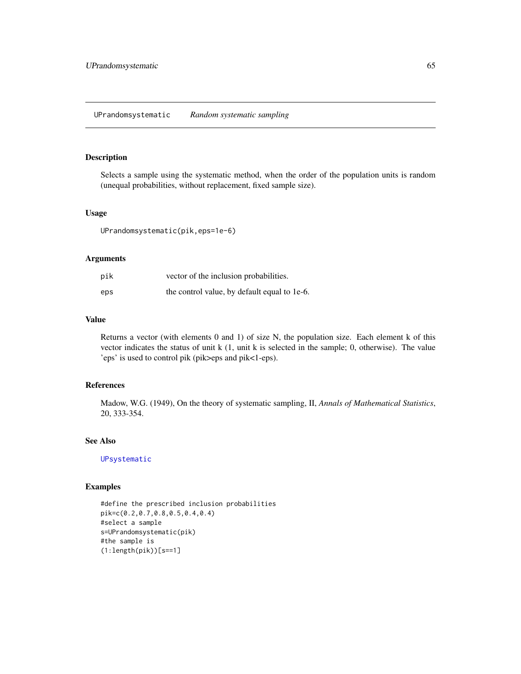<span id="page-64-0"></span>Selects a sample using the systematic method, when the order of the population units is random (unequal probabilities, without replacement, fixed sample size).

#### Usage

UPrandomsystematic(pik,eps=1e-6)

# Arguments

| pik | vector of the inclusion probabilities.       |
|-----|----------------------------------------------|
| eps | the control value, by default equal to 1e-6. |

## Value

Returns a vector (with elements 0 and 1) of size N, the population size. Each element k of this vector indicates the status of unit k (1, unit k is selected in the sample; 0, otherwise). The value 'eps' is used to control pik (pik>eps and pik<1-eps).

# References

Madow, W.G. (1949), On the theory of systematic sampling, II, *Annals of Mathematical Statistics*, 20, 333-354.

## See Also

[UPsystematic](#page-67-0)

# Examples

#define the prescribed inclusion probabilities pik=c(0.2,0.7,0.8,0.5,0.4,0.4) #select a sample s=UPrandomsystematic(pik) #the sample is  $(1:length(pik))$ [s==1]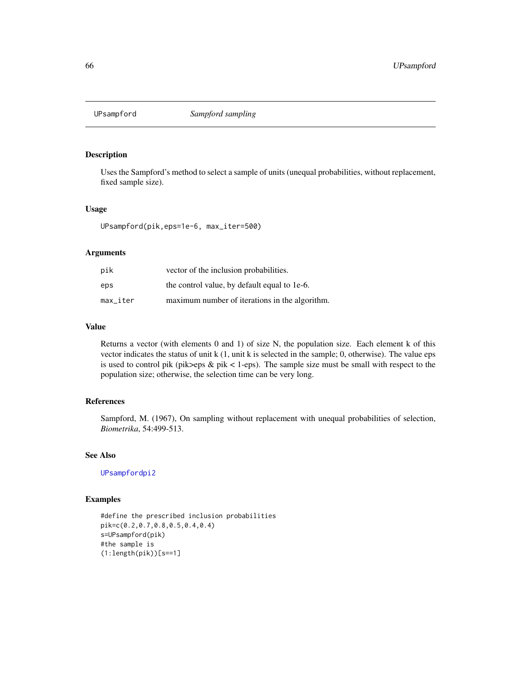<span id="page-65-0"></span>

Uses the Sampford's method to select a sample of units (unequal probabilities, without replacement, fixed sample size).

#### Usage

UPsampford(pik,eps=1e-6, max\_iter=500)

# Arguments

| pik      | vector of the inclusion probabilities.         |
|----------|------------------------------------------------|
| eps      | the control value, by default equal to 1e-6.   |
| max iter | maximum number of iterations in the algorithm. |

# Value

Returns a vector (with elements 0 and 1) of size N, the population size. Each element k of this vector indicates the status of unit k (1, unit k is selected in the sample; 0, otherwise). The value eps is used to control pik (pik>eps & pik < 1-eps). The sample size must be small with respect to the population size; otherwise, the selection time can be very long.

# References

Sampford, M. (1967), On sampling without replacement with unequal probabilities of selection, *Biometrika*, 54:499-513.

#### See Also

[UPsampfordpi2](#page-66-0)

#### Examples

#define the prescribed inclusion probabilities pik=c(0.2,0.7,0.8,0.5,0.4,0.4) s=UPsampford(pik) #the sample is  $(1:length(pik))$ [s==1]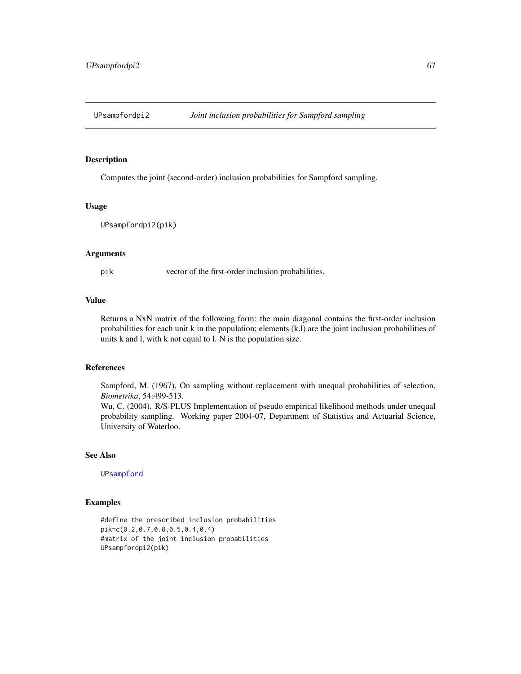<span id="page-66-0"></span>

Computes the joint (second-order) inclusion probabilities for Sampford sampling.

#### Usage

UPsampfordpi2(pik)

#### Arguments

pik vector of the first-order inclusion probabilities.

# Value

Returns a NxN matrix of the following form: the main diagonal contains the first-order inclusion probabilities for each unit k in the population; elements (k,l) are the joint inclusion probabilities of units k and l, with k not equal to l. N is the population size.

#### References

Sampford, M. (1967), On sampling without replacement with unequal probabilities of selection, *Biometrika*, 54:499-513.

Wu, C. (2004). R/S-PLUS Implementation of pseudo empirical likelihood methods under unequal probability sampling. Working paper 2004-07, Department of Statistics and Actuarial Science, University of Waterloo.

## See Also

[UPsampford](#page-65-0)

#### Examples

#define the prescribed inclusion probabilities pik=c(0.2,0.7,0.8,0.5,0.4,0.4) #matrix of the joint inclusion probabilities UPsampfordpi2(pik)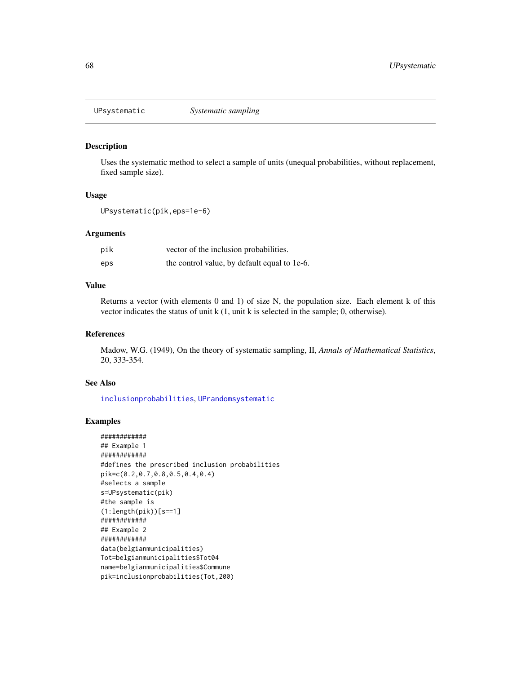<span id="page-67-0"></span>

Uses the systematic method to select a sample of units (unequal probabilities, without replacement, fixed sample size).

#### Usage

UPsystematic(pik,eps=1e-6)

# Arguments

| pik | vector of the inclusion probabilities.       |
|-----|----------------------------------------------|
| eps | the control value, by default equal to 1e-6. |

# Value

Returns a vector (with elements 0 and 1) of size N, the population size. Each element k of this vector indicates the status of unit k (1, unit k is selected in the sample; 0, otherwise).

#### References

Madow, W.G. (1949), On the theory of systematic sampling, II, *Annals of Mathematical Statistics*, 20, 333-354.

## See Also

[inclusionprobabilities](#page-23-0), [UPrandomsystematic](#page-64-0)

```
############
## Example 1
############
#defines the prescribed inclusion probabilities
pik=c(0.2,0.7,0.8,0.5,0.4,0.4)
#selects a sample
s=UPsystematic(pik)
#the sample is
(1:length(pik))[s==1]
############
## Example 2
############
data(belgianmunicipalities)
Tot=belgianmunicipalities$Tot04
name=belgianmunicipalities$Commune
pik=inclusionprobabilities(Tot,200)
```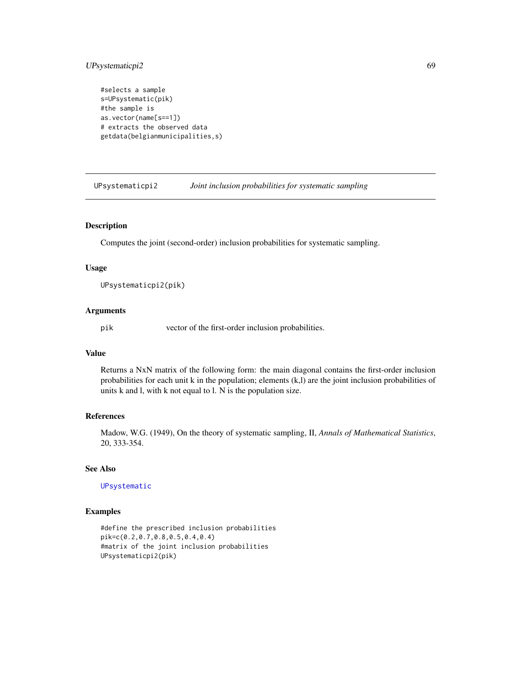# UPsystematicpi2 69

```
#selects a sample
s=UPsystematic(pik)
#the sample is
as.vector(name[s==1])
# extracts the observed data
getdata(belgianmunicipalities,s)
```
UPsystematicpi2 *Joint inclusion probabilities for systematic sampling*

## Description

Computes the joint (second-order) inclusion probabilities for systematic sampling.

#### Usage

```
UPsystematicpi2(pik)
```
#### Arguments

pik vector of the first-order inclusion probabilities.

## Value

Returns a NxN matrix of the following form: the main diagonal contains the first-order inclusion probabilities for each unit k in the population; elements (k,l) are the joint inclusion probabilities of units k and l, with k not equal to l. N is the population size.

# References

Madow, W.G. (1949), On the theory of systematic sampling, II, *Annals of Mathematical Statistics*, 20, 333-354.

# See Also

[UPsystematic](#page-67-0)

## Examples

#define the prescribed inclusion probabilities pik=c(0.2,0.7,0.8,0.5,0.4,0.4) #matrix of the joint inclusion probabilities UPsystematicpi2(pik)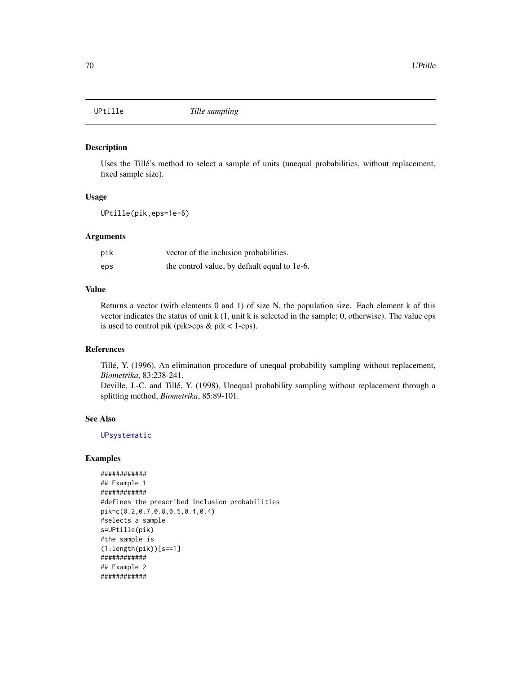<span id="page-69-0"></span>

Uses the Tillé's method to select a sample of units (unequal probabilities, without replacement, fixed sample size).

#### Usage

UPtille(pik,eps=1e-6)

## Arguments

| pik | vector of the inclusion probabilities.       |
|-----|----------------------------------------------|
| eps | the control value, by default equal to 1e-6. |

# Value

Returns a vector (with elements 0 and 1) of size N, the population size. Each element k of this vector indicates the status of unit k (1, unit k is selected in the sample; 0, otherwise). The value eps is used to control pik (pik>eps  $&$  pik < 1-eps).

# References

Tillé, Y. (1996), An elimination procedure of unequal probability sampling without replacement, *Biometrika*, 83:238-241.

Deville, J.-C. and Tillé, Y. (1998), Unequal probability sampling without replacement through a splitting method, *Biometrika*, 85:89-101.

# See Also

[UPsystematic](#page-67-0)

## Examples

############ ## Example 1 ############ #defines the prescribed inclusion probabilities pik=c(0.2,0.7,0.8,0.5,0.4,0.4) #selects a sample s=UPtille(pik) #the sample is  $(1:length(pik))$ [s==1] ############ ## Example 2 ############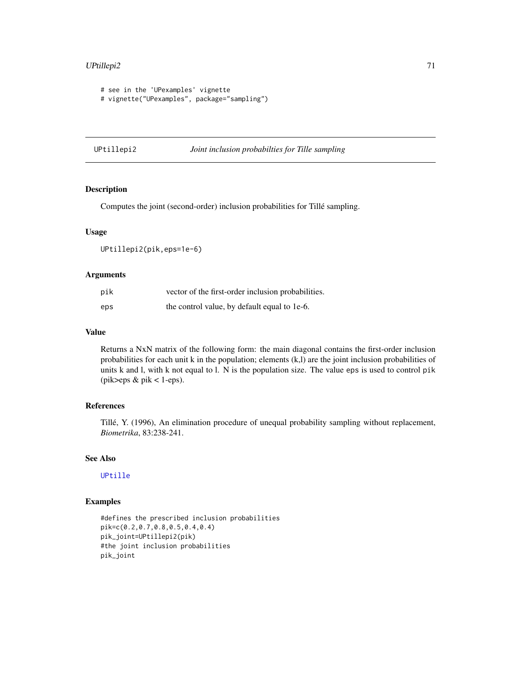# UPtillepi2 71

```
# see in the 'UPexamples' vignette
# vignette("UPexamples", package="sampling")
```
# UPtillepi2 *Joint inclusion probabilties for Tille sampling*

# Description

Computes the joint (second-order) inclusion probabilities for Tillé sampling.

#### Usage

```
UPtillepi2(pik,eps=1e-6)
```
#### Arguments

| pik | vector of the first-order inclusion probabilities. |
|-----|----------------------------------------------------|
| eps | the control value, by default equal to 1e-6.       |

# Value

Returns a NxN matrix of the following form: the main diagonal contains the first-order inclusion probabilities for each unit k in the population; elements (k,l) are the joint inclusion probabilities of units k and l, with k not equal to l. N is the population size. The value eps is used to control pik  $(\text{pik}\text{>eps } \& \text{pik} < 1-\text{eps}).$ 

# References

Tillé, Y. (1996), An elimination procedure of unequal probability sampling without replacement, *Biometrika*, 83:238-241.

# See Also

[UPtille](#page-69-0)

# Examples

#defines the prescribed inclusion probabilities pik=c(0.2,0.7,0.8,0.5,0.4,0.4) pik\_joint=UPtillepi2(pik) #the joint inclusion probabilities pik\_joint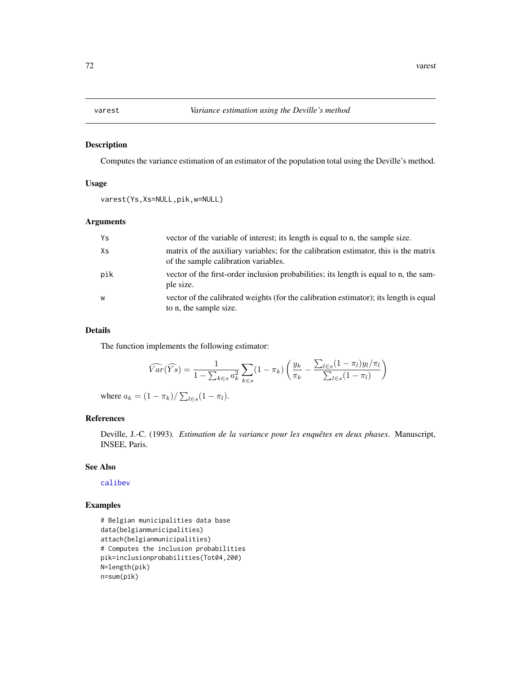Computes the variance estimation of an estimator of the population total using the Deville's method.

#### Usage

```
varest(Ys,Xs=NULL,pik,w=NULL)
```
# Arguments

| Ys  | vector of the variable of interest; its length is equal to n, the sample size.                                               |
|-----|------------------------------------------------------------------------------------------------------------------------------|
| Xs  | matrix of the auxiliary variables; for the calibration estimator, this is the matrix<br>of the sample calibration variables. |
| pik | vector of the first-order inclusion probabilities; its length is equal to n, the sam-<br>ple size.                           |
| W   | vector of the calibrated weights (for the calibration estimator); its length is equal<br>to n, the sample size.              |

## Details

The function implements the following estimator:

$$
\widehat{Var}(\widehat{Ys}) = \frac{1}{1 - \sum_{k \in s} a_k^2} \sum_{k \in s} (1 - \pi_k) \left( \frac{y_k}{\pi_k} - \frac{\sum_{l \in s} (1 - \pi_l) y_l / \pi_l}{\sum_{l \in s} (1 - \pi_l)} \right)
$$

where  $a_k = (1 - \pi_k) / \sum_{l \in s} (1 - \pi_l)$ .

# References

Deville, J.-C. (1993). *Estimation de la variance pour les enquêtes en deux phases*. Manuscript, INSEE, Paris.

#### See Also

[calibev](#page-9-0)

```
# Belgian municipalities data base
data(belgianmunicipalities)
attach(belgianmunicipalities)
# Computes the inclusion probabilities
pik=inclusionprobabilities(Tot04,200)
N=length(pik)
n=sum(pik)
```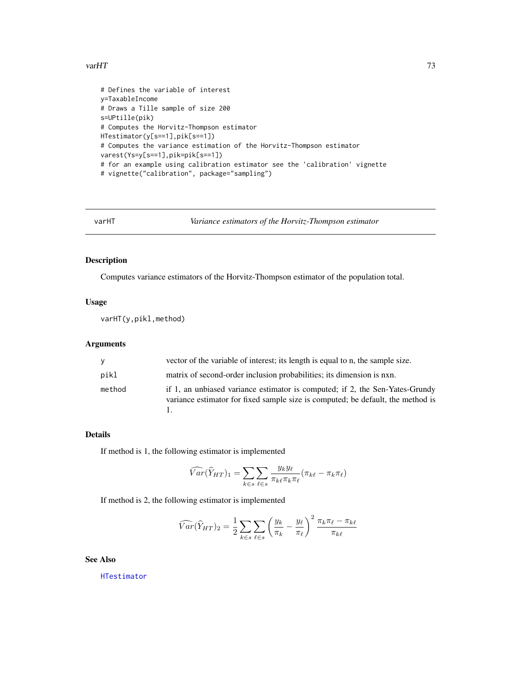#### <span id="page-72-0"></span> $varHT$  73

```
# Defines the variable of interest
y=TaxableIncome
# Draws a Tille sample of size 200
s=UPtille(pik)
# Computes the Horvitz-Thompson estimator
HTestimator(y[s==1],pik[s==1])
# Computes the variance estimation of the Horvitz-Thompson estimator
varest(Ys=y[s==1],pik=pik[s==1])
# for an example using calibration estimator see the 'calibration' vignette
# vignette("calibration", package="sampling")
```

```
varHT Variance estimators of the Horvitz-Thompson estimator
```
## Description

Computes variance estimators of the Horvitz-Thompson estimator of the population total.

#### Usage

varHT(y,pikl,method)

### Arguments

| <b>V</b> | vector of the variable of interest; its length is equal to n, the sample size.                                                                                  |  |
|----------|-----------------------------------------------------------------------------------------------------------------------------------------------------------------|--|
| pikl     | matrix of second-order inclusion probabilities; its dimension is nxn.                                                                                           |  |
| method   | if 1, an unbiased variance estimator is computed; if 2, the Sen-Yates-Grundy<br>variance estimator for fixed sample size is computed; be default, the method is |  |

## Details

If method is 1, the following estimator is implemented

$$
\widehat{Var}(\widehat{Y}_{HT})_1 = \sum_{k \in s} \sum_{\ell \in s} \frac{y_k y_\ell}{\pi_{k\ell} \pi_k \pi_{\ell}} (\pi_{k\ell} - \pi_k \pi_{\ell})
$$

If method is 2, the following estimator is implemented

$$
\widehat{Var}(\widehat{Y}_{HT})_2 = \frac{1}{2} \sum_{k \in s} \sum_{\ell \in s} \left(\frac{y_k}{\pi_k} - \frac{y_\ell}{\pi_\ell}\right)^2 \frac{\pi_k \pi_\ell - \pi_{k\ell}}{\pi_{k\ell}}
$$

See Also

[HTestimator](#page-21-0)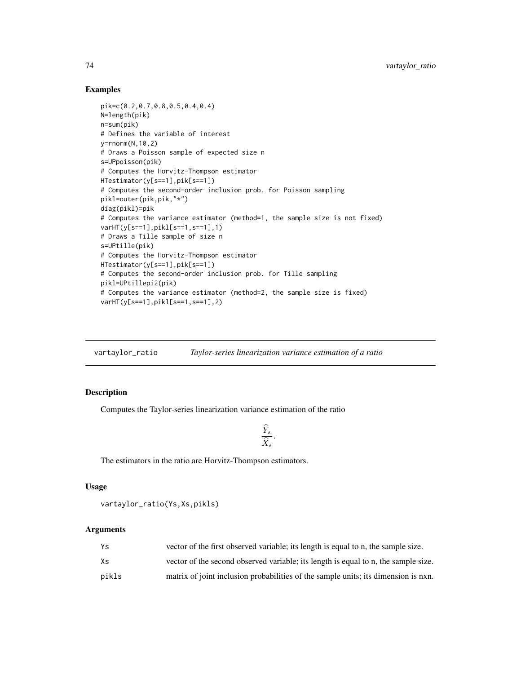## Examples

```
pik=c(0.2,0.7,0.8,0.5,0.4,0.4)
N=length(pik)
n=sum(pik)
# Defines the variable of interest
y=rnorm(N,10,2)
# Draws a Poisson sample of expected size n
s=UPpoisson(pik)
# Computes the Horvitz-Thompson estimator
HTestimator(y[s==1],pik[s==1])
# Computes the second-order inclusion prob. for Poisson sampling
pikl=outer(pik,pik,"*")
diag(pikl)=pik
# Computes the variance estimator (method=1, the sample size is not fixed)
varHT(y[s==1],pikl[s==1,s==1],1)
# Draws a Tille sample of size n
s=UPtille(pik)
# Computes the Horvitz-Thompson estimator
HTestimator(y[s==1],pik[s==1])
# Computes the second-order inclusion prob. for Tille sampling
pikl=UPtillepi2(pik)
# Computes the variance estimator (method=2, the sample size is fixed)
varHT(y[s==1],pikl[s==1,s==1],2)
```
vartaylor\_ratio *Taylor-series linearization variance estimation of a ratio*

## Description

Computes the Taylor-series linearization variance estimation of the ratio

$$
\frac{\widehat{Y}_s}{\widehat{X}_s}.
$$

The estimators in the ratio are Horvitz-Thompson estimators.

## Usage

```
vartaylor_ratio(Ys,Xs,pikls)
```
#### Arguments

| Ys    | vector of the first observed variable; its length is equal to n, the sample size.  |
|-------|------------------------------------------------------------------------------------|
| Хs    | vector of the second observed variable; its length is equal to n, the sample size. |
| pikls | matrix of joint inclusion probabilities of the sample units; its dimension is nxn. |

<span id="page-73-0"></span>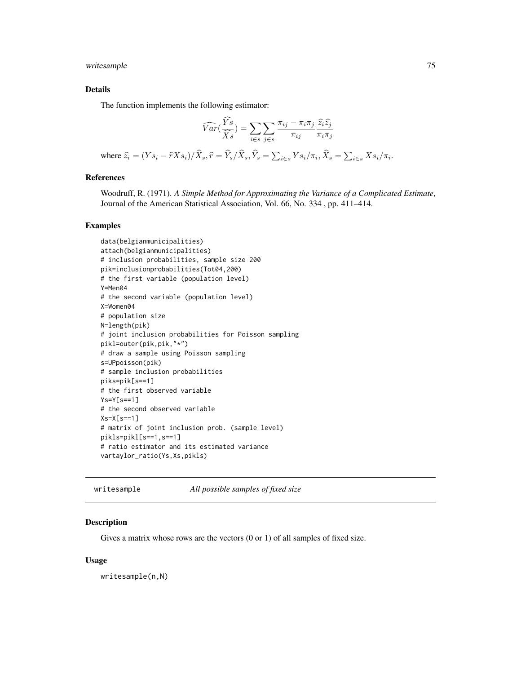<span id="page-74-0"></span>writesample 75

## Details

The function implements the following estimator:

$$
\widehat{Var}\left(\frac{\widehat{Y}s}{\widehat{X}s}\right) = \sum_{i \in s} \sum_{j \in s} \frac{\pi_{ij} - \pi_i \pi_j}{\pi_{ij}} \frac{\widehat{z}_i \widehat{z}_j}{\pi_i \pi_j}
$$
\nwhere  $\widehat{z}_i = (Ys_i - \widehat{r}Xs_i)/\widehat{X}_s$ ,  $\widehat{r} = \widehat{Y}_s/\widehat{X}_s$ ,  $\widehat{Y}_s = \sum_{i \in s} Ys_i/\pi_i$ ,  $\widehat{X}_s = \sum_{i \in s} Xs_i/\pi_i$ .

## References

Woodruff, R. (1971). *A Simple Method for Approximating the Variance of a Complicated Estimate*, Journal of the American Statistical Association, Vol. 66, No. 334 , pp. 411–414.

#### Examples

```
data(belgianmunicipalities)
attach(belgianmunicipalities)
# inclusion probabilities, sample size 200
pik=inclusionprobabilities(Tot04,200)
# the first variable (population level)
Y=Men04
# the second variable (population level)
X=Women04
# population size
N=length(pik)
# joint inclusion probabilities for Poisson sampling
pikl=outer(pik,pik,"*")
# draw a sample using Poisson sampling
s=UPpoisson(pik)
# sample inclusion probabilities
piks=pik[s==1]
# the first observed variable
Ys=Y[s==1]
# the second observed variable
Xs=X[s==1]# matrix of joint inclusion prob. (sample level)
pikls=pikl[s==1,s==1]
# ratio estimator and its estimated variance
vartaylor_ratio(Ys,Xs,pikls)
```
writesample *All possible samples of fixed size*

## Description

Gives a matrix whose rows are the vectors (0 or 1) of all samples of fixed size.

#### Usage

writesample(n,N)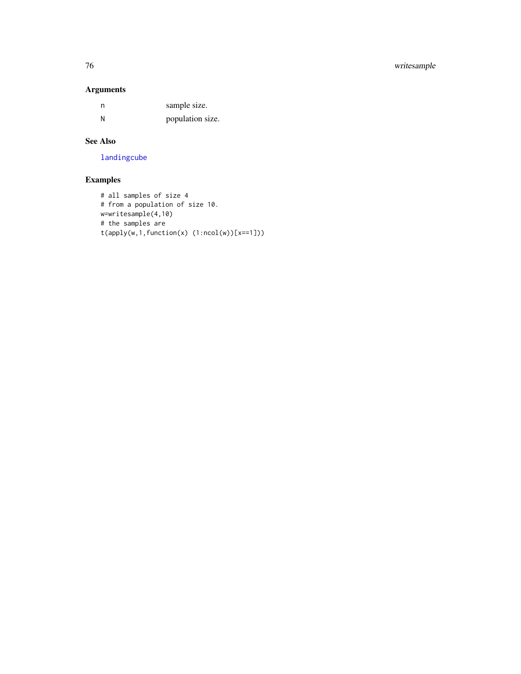## <span id="page-75-0"></span>76 writesample

## Arguments

| n | sample size.     |
|---|------------------|
| Ν | population size. |

## See Also

[landingcube](#page-25-0)

# Examples

```
# all samples of size 4
# from a population of size 10.
w=writesample(4,10)
# the samples are
t(apply(w,1,function(x) (1:ncol(w))[x==1]))
```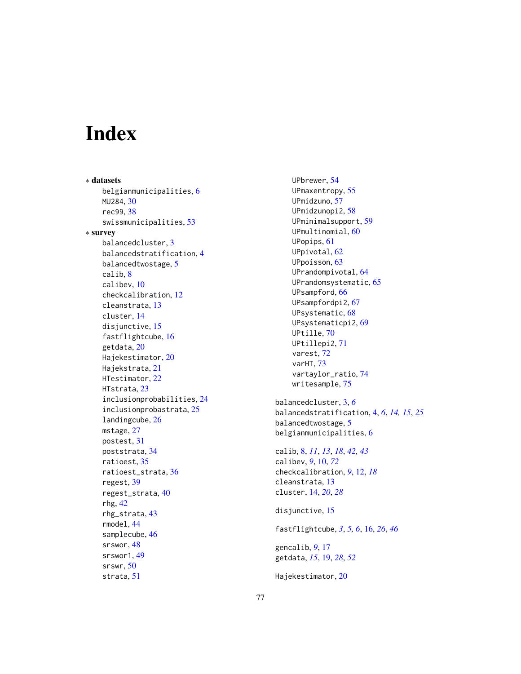# Index

∗ datasets belgianmunicipalities, [6](#page-5-0) MU284, [30](#page-29-0) rec99, [38](#page-37-0) swissmunicipalities, [53](#page-52-0) ∗ survey balancedcluster, [3](#page-2-0) balancedstratification, [4](#page-3-0) balancedtwostage, [5](#page-4-0) calib, [8](#page-7-0) calibev, [10](#page-9-0) checkcalibration, [12](#page-11-0) cleanstrata, [13](#page-12-0) cluster, [14](#page-13-0) disjunctive, [15](#page-14-0) fastflightcube, [16](#page-15-0) getdata, [20](#page-19-0) Hajekestimator, [20](#page-19-0) Hajekstrata, [21](#page-20-0) HTestimator, [22](#page-21-1) HTstrata, [23](#page-22-0) inclusionprobabilities, [24](#page-23-0) inclusionprobastrata, [25](#page-24-0) landingcube, [26](#page-25-1) mstage, [27](#page-26-0) postest, [31](#page-30-0) poststrata, [34](#page-33-0) ratioest, [35](#page-34-0) ratioest\_strata, [36](#page-35-0) regest, [39](#page-38-0) regest\_strata, [40](#page-39-0) rhg, [42](#page-41-0) rhg\_strata, [43](#page-42-0) rmodel, [44](#page-43-0) samplecube, [46](#page-45-0) srswor, [48](#page-47-0) srswor1, [49](#page-48-0) srswr, [50](#page-49-0) strata, [51](#page-50-0)

UPbrewer, [54](#page-53-0) UPmaxentropy, [55](#page-54-0) UPmidzuno, [57](#page-56-0) UPmidzunopi2, [58](#page-57-0) UPminimalsupport, [59](#page-58-0) UPmultinomial, [60](#page-59-0) UPopips, [61](#page-60-0) UPpivotal, [62](#page-61-0) UPpoisson, [63](#page-62-0) UPrandompivotal, [64](#page-63-0) UPrandomsystematic, [65](#page-64-0) UPsampford, [66](#page-65-0) UPsampfordpi2, [67](#page-66-0) UPsystematic, [68](#page-67-0) UPsystematicpi2, [69](#page-68-0) UPtille, [70](#page-69-0) UPtillepi2, [71](#page-70-0) varest, [72](#page-71-0) varHT, [73](#page-72-0) vartaylor\_ratio, [74](#page-73-0) writesample, [75](#page-74-0) balancedcluster, [3,](#page-2-0) *[6](#page-5-0)* balancedstratification, [4,](#page-3-0) *[6](#page-5-0)*, *[14,](#page-13-0) [15](#page-14-0)*, *[25](#page-24-0)* balancedtwostage, [5](#page-4-0) belgianmunicipalities, [6](#page-5-0) calib, [8,](#page-7-0) *[11](#page-10-0)*, *[13](#page-12-0)*, *[18](#page-17-0)*, *[42,](#page-41-0) [43](#page-42-0)* calibev, *[9](#page-8-0)*, [10,](#page-9-0) *[72](#page-71-0)* checkcalibration, *[9](#page-8-0)*, [12,](#page-11-0) *[18](#page-17-0)* cleanstrata, [13](#page-12-0) cluster, [14,](#page-13-0) *[20](#page-19-0)*, *[28](#page-27-0)* disjunctive, [15](#page-14-0)

fastflightcube, *[3](#page-2-0)*, *[5,](#page-4-0) [6](#page-5-0)*, [16,](#page-15-0) *[26](#page-25-1)*, *[46](#page-45-0)*

gencalib, *[9](#page-8-0)*, [17](#page-16-0) getdata, *[15](#page-14-0)*, [19,](#page-18-0) *[28](#page-27-0)*, *[52](#page-51-0)*

Hajekestimator, [20](#page-19-0)